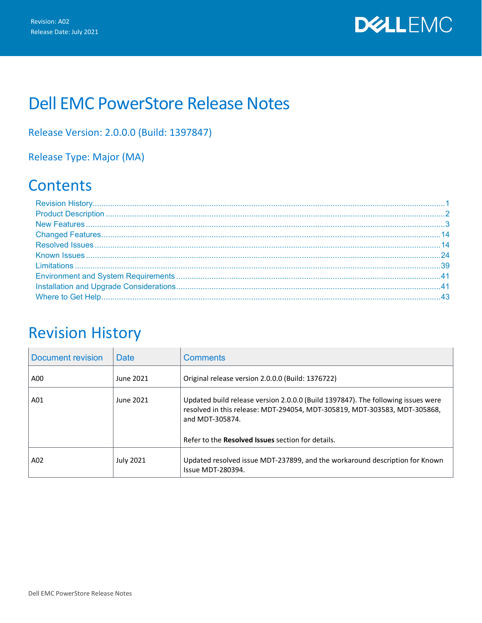

# Dell EMC PowerStore Release Notes

### Release Version: 2.0.0.0 (Build: 1397847)

## Release Type: Major (MA)

# **Contents**

## <span id="page-0-0"></span>Revision History

| Document revision | Date             | <b>Comments</b>                                                                                                                                                                                                                              |
|-------------------|------------------|----------------------------------------------------------------------------------------------------------------------------------------------------------------------------------------------------------------------------------------------|
| A00               | June 2021        | Original release version 2.0.0.0 (Build: 1376722)                                                                                                                                                                                            |
| A01               | June 2021        | Updated build release version 2.0.0.0 (Build 1397847). The following issues were<br>resolved in this release: MDT-294054, MDT-305819, MDT-303583, MDT-305868,<br>and MDT-305874.<br>Refer to the <b>Resolved Issues</b> section for details. |
| A02               | <b>July 2021</b> | Updated resolved issue MDT-237899, and the workaround description for Known<br>Issue MDT-280394.                                                                                                                                             |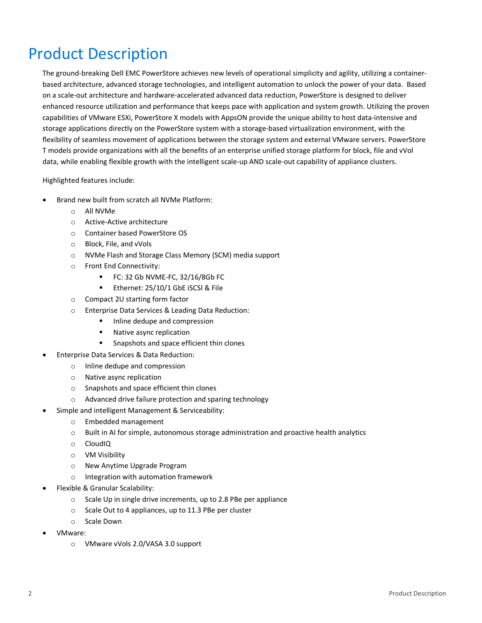# <span id="page-1-0"></span>Product Description

The ground-breaking Dell EMC PowerStore achieves new levels of operational simplicity and agility, utilizing a containerbased architecture, advanced storage technologies, and intelligent automation to unlock the power of your data. Based on a scale-out architecture and hardware-accelerated advanced data reduction, PowerStore is designed to deliver enhanced resource utilization and performance that keeps pace with application and system growth. Utilizing the proven capabilities of VMware ESXi, PowerStore X models with AppsON provide the unique ability to host data-intensive and storage applications directly on the PowerStore system with a storage-based virtualization environment, with the flexibility of seamless movement of applications between the storage system and external VMware servers. PowerStore T models provide organizations with all the benefits of an enterprise unified storage platform for block, file and vVol data, while enabling flexible growth with the intelligent scale-up AND scale-out capability of appliance clusters.

Highlighted features include:

- Brand new built from scratch all NVMe Platform:
	- o All NVMe
	- o Active-Active architecture
	- o Container based PowerStore OS
	- o Block, File, and vVols
	- o NVMe Flash and Storage Class Memory (SCM) media support
	- o Front End Connectivity:
		- FC: 32 Gb NVME-FC, 32/16/8Gb FC
		- **Ethernet: 25/10/1 GbE iSCSI & File**
	- o Compact 2U starting form factor
	- o Enterprise Data Services & Leading Data Reduction:
		- **Inline dedupe and compression**
		- Native async replication
		- **Snapshots and space efficient thin clones**
- Enterprise Data Services & Data Reduction:
	- o Inline dedupe and compression
	- o Native async replication
	- o Snapshots and space efficient thin clones
	- o Advanced drive failure protection and sparing technology
- Simple and intelligent Management & Serviceability:
	- o Embedded management
	- o Built in AI for simple, autonomous storage administration and proactive health analytics
	- o CloudIQ
	- o VM Visibility
	- o New Anytime Upgrade Program
	- o Integration with automation framework
- Flexible & Granular Scalability:
	- o Scale Up in single drive increments, up to 2.8 PBe per appliance
	- o Scale Out to 4 appliances, up to 11.3 PBe per cluster
	- o Scale Down
- VMware:
	- o VMware vVols 2.0/VASA 3.0 support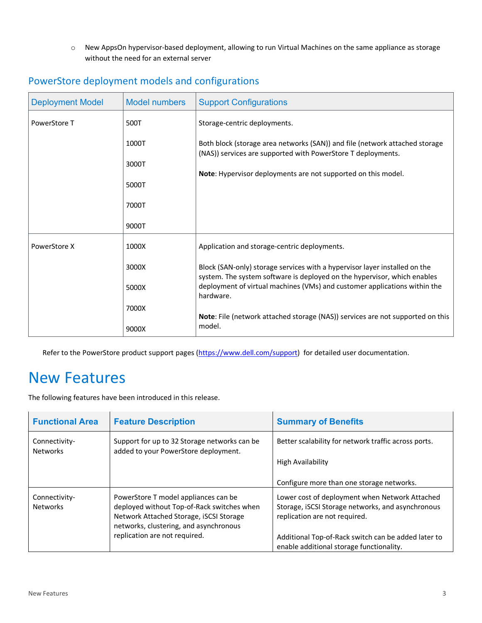o New AppsOn hypervisor-based deployment, allowing to run Virtual Machines on the same appliance as storage without the need for an external server

| <b>Deployment Model</b> | <b>Model numbers</b> | <b>Support Configurations</b>                                                                                                                          |
|-------------------------|----------------------|--------------------------------------------------------------------------------------------------------------------------------------------------------|
| PowerStore T            | 500T                 | Storage-centric deployments.                                                                                                                           |
|                         | 1000T                | Both block (storage area networks (SAN)) and file (network attached storage<br>(NAS)) services are supported with PowerStore T deployments.            |
|                         | 3000T                |                                                                                                                                                        |
|                         |                      | Note: Hypervisor deployments are not supported on this model.                                                                                          |
|                         | 5000T                |                                                                                                                                                        |
|                         | 7000T                |                                                                                                                                                        |
|                         | 9000T                |                                                                                                                                                        |
| PowerStore X            | 1000X                | Application and storage-centric deployments.                                                                                                           |
|                         | 3000X                | Block (SAN-only) storage services with a hypervisor layer installed on the<br>system. The system software is deployed on the hypervisor, which enables |
|                         | 5000X                | deployment of virtual machines (VMs) and customer applications within the<br>hardware.                                                                 |
|                         | 7000X                | Note: File (network attached storage (NAS)) services are not supported on this                                                                         |
|                         | 9000X                | model.                                                                                                                                                 |

### PowerStore deployment models and configurations

Refer to the PowerStore product support pages [\(https://www.dell.com/support\)](https://www.dell.com/support) for detailed user documentation.

## <span id="page-2-0"></span>New Features

The following features have been introduced in this release.

| <b>Functional Area</b>           | <b>Feature Description</b>                                                                                                                                              | <b>Summary of Benefits</b>                                                                                                           |
|----------------------------------|-------------------------------------------------------------------------------------------------------------------------------------------------------------------------|--------------------------------------------------------------------------------------------------------------------------------------|
| Connectivity-<br><b>Networks</b> | Support for up to 32 Storage networks can be<br>added to your PowerStore deployment.                                                                                    | Better scalability for network traffic across ports.                                                                                 |
|                                  |                                                                                                                                                                         | High Availability                                                                                                                    |
|                                  |                                                                                                                                                                         | Configure more than one storage networks.                                                                                            |
| Connectivity-<br><b>Networks</b> | PowerStore T model appliances can be<br>deployed without Top-of-Rack switches when<br>Network Attached Storage, iSCSI Storage<br>networks, clustering, and asynchronous | Lower cost of deployment when Network Attached<br>Storage, iSCSI Storage networks, and asynchronous<br>replication are not required. |
|                                  | replication are not required.                                                                                                                                           | Additional Top-of-Rack switch can be added later to<br>enable additional storage functionality.                                      |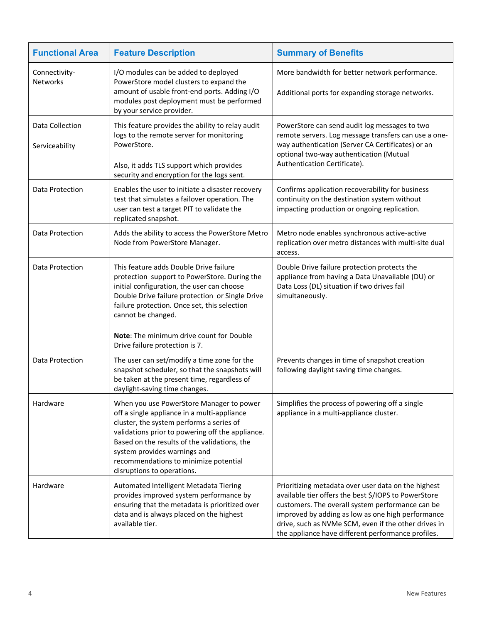| <b>Functional Area</b>            | <b>Feature Description</b>                                                                                                                                                                                                                                                                                                                     | <b>Summary of Benefits</b>                                                                                                                                                                                                                                                                                                         |
|-----------------------------------|------------------------------------------------------------------------------------------------------------------------------------------------------------------------------------------------------------------------------------------------------------------------------------------------------------------------------------------------|------------------------------------------------------------------------------------------------------------------------------------------------------------------------------------------------------------------------------------------------------------------------------------------------------------------------------------|
| Connectivity-<br>Networks         | I/O modules can be added to deployed<br>PowerStore model clusters to expand the<br>amount of usable front-end ports. Adding I/O<br>modules post deployment must be performed<br>by your service provider.                                                                                                                                      | More bandwidth for better network performance.<br>Additional ports for expanding storage networks.                                                                                                                                                                                                                                 |
| Data Collection<br>Serviceability | This feature provides the ability to relay audit<br>logs to the remote server for monitoring<br>PowerStore.<br>Also, it adds TLS support which provides<br>security and encryption for the logs sent.                                                                                                                                          | PowerStore can send audit log messages to two<br>remote servers. Log message transfers can use a one-<br>way authentication (Server CA Certificates) or an<br>optional two-way authentication (Mutual<br>Authentication Certificate).                                                                                              |
| Data Protection                   | Enables the user to initiate a disaster recovery<br>test that simulates a failover operation. The<br>user can test a target PIT to validate the<br>replicated snapshot.                                                                                                                                                                        | Confirms application recoverability for business<br>continuity on the destination system without<br>impacting production or ongoing replication.                                                                                                                                                                                   |
| Data Protection                   | Adds the ability to access the PowerStore Metro<br>Node from PowerStore Manager.                                                                                                                                                                                                                                                               | Metro node enables synchronous active-active<br>replication over metro distances with multi-site dual<br>access.                                                                                                                                                                                                                   |
| Data Protection                   | This feature adds Double Drive failure<br>protection support to PowerStore. During the<br>initial configuration, the user can choose<br>Double Drive failure protection or Single Drive<br>failure protection. Once set, this selection<br>cannot be changed.<br>Note: The minimum drive count for Double                                      | Double Drive failure protection protects the<br>appliance from having a Data Unavailable (DU) or<br>Data Loss (DL) situation if two drives fail<br>simultaneously.                                                                                                                                                                 |
| Data Protection                   | Drive failure protection is 7.<br>The user can set/modify a time zone for the<br>snapshot scheduler, so that the snapshots will<br>be taken at the present time, regardless of<br>daylight-saving time changes.                                                                                                                                | Prevents changes in time of snapshot creation<br>following daylight saving time changes.                                                                                                                                                                                                                                           |
| Hardware                          | When you use PowerStore Manager to power<br>off a single appliance in a multi-appliance<br>cluster, the system performs a series of<br>validations prior to powering off the appliance.<br>Based on the results of the validations, the<br>system provides warnings and<br>recommendations to minimize potential<br>disruptions to operations. | Simplifies the process of powering off a single<br>appliance in a multi-appliance cluster.                                                                                                                                                                                                                                         |
| Hardware                          | Automated Intelligent Metadata Tiering<br>provides improved system performance by<br>ensuring that the metadata is prioritized over<br>data and is always placed on the highest<br>available tier.                                                                                                                                             | Prioritizing metadata over user data on the highest<br>available tier offers the best \$/IOPS to PowerStore<br>customers. The overall system performance can be<br>improved by adding as low as one high performance<br>drive, such as NVMe SCM, even if the other drives in<br>the appliance have different performance profiles. |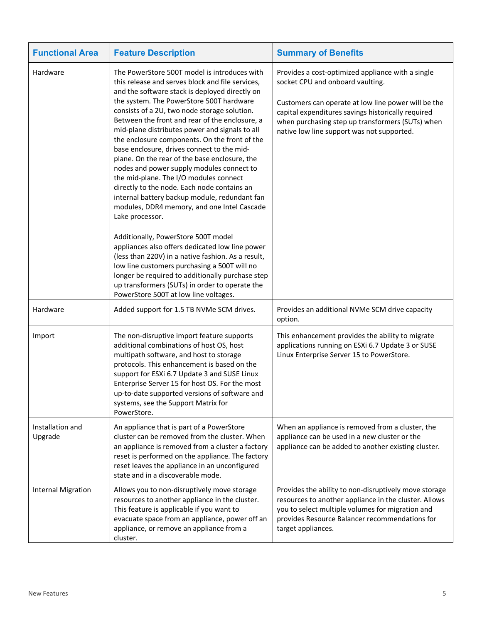| <b>Functional Area</b>      | <b>Feature Description</b>                                                                                                                                                                                                                                                                                                                                                                                                                                                                                                                                                                                                                                                                                                                                                                                                                                                                                                                                                                                                                                                                                 | <b>Summary of Benefits</b>                                                                                                                                                                                                                                                                           |
|-----------------------------|------------------------------------------------------------------------------------------------------------------------------------------------------------------------------------------------------------------------------------------------------------------------------------------------------------------------------------------------------------------------------------------------------------------------------------------------------------------------------------------------------------------------------------------------------------------------------------------------------------------------------------------------------------------------------------------------------------------------------------------------------------------------------------------------------------------------------------------------------------------------------------------------------------------------------------------------------------------------------------------------------------------------------------------------------------------------------------------------------------|------------------------------------------------------------------------------------------------------------------------------------------------------------------------------------------------------------------------------------------------------------------------------------------------------|
| Hardware                    | The PowerStore 500T model is introduces with<br>this release and serves block and file services,<br>and the software stack is deployed directly on<br>the system. The PowerStore 500T hardware<br>consists of a 2U, two node storage solution.<br>Between the front and rear of the enclosure, a<br>mid-plane distributes power and signals to all<br>the enclosure components. On the front of the<br>base enclosure, drives connect to the mid-<br>plane. On the rear of the base enclosure, the<br>nodes and power supply modules connect to<br>the mid-plane. The I/O modules connect<br>directly to the node. Each node contains an<br>internal battery backup module, redundant fan<br>modules, DDR4 memory, and one Intel Cascade<br>Lake processor.<br>Additionally, PowerStore 500T model<br>appliances also offers dedicated low line power<br>(less than 220V) in a native fashion. As a result,<br>low line customers purchasing a 500T will no<br>longer be required to additionally purchase step<br>up transformers (SUTs) in order to operate the<br>PowerStore 500T at low line voltages. | Provides a cost-optimized appliance with a single<br>socket CPU and onboard vaulting.<br>Customers can operate at low line power will be the<br>capital expenditures savings historically required<br>when purchasing step up transformers (SUTs) when<br>native low line support was not supported. |
| Hardware                    | Added support for 1.5 TB NVMe SCM drives.                                                                                                                                                                                                                                                                                                                                                                                                                                                                                                                                                                                                                                                                                                                                                                                                                                                                                                                                                                                                                                                                  | Provides an additional NVMe SCM drive capacity<br>option.                                                                                                                                                                                                                                            |
| Import                      | The non-disruptive import feature supports<br>additional combinations of host OS, host<br>multipath software, and host to storage<br>protocols. This enhancement is based on the<br>support for ESXi 6.7 Update 3 and SUSE Linux<br>Enterprise Server 15 for host OS. For the most<br>up-to-date supported versions of software and<br>systems, see the Support Matrix for<br>PowerStore.                                                                                                                                                                                                                                                                                                                                                                                                                                                                                                                                                                                                                                                                                                                  | This enhancement provides the ability to migrate<br>applications running on ESXi 6.7 Update 3 or SUSE<br>Linux Enterprise Server 15 to PowerStore.                                                                                                                                                   |
| Installation and<br>Upgrade | An appliance that is part of a PowerStore<br>cluster can be removed from the cluster. When<br>an appliance is removed from a cluster a factory<br>reset is performed on the appliance. The factory<br>reset leaves the appliance in an unconfigured<br>state and in a discoverable mode.                                                                                                                                                                                                                                                                                                                                                                                                                                                                                                                                                                                                                                                                                                                                                                                                                   | When an appliance is removed from a cluster, the<br>appliance can be used in a new cluster or the<br>appliance can be added to another existing cluster.                                                                                                                                             |
| <b>Internal Migration</b>   | Allows you to non-disruptively move storage<br>resources to another appliance in the cluster.<br>This feature is applicable if you want to<br>evacuate space from an appliance, power off an<br>appliance, or remove an appliance from a<br>cluster.                                                                                                                                                                                                                                                                                                                                                                                                                                                                                                                                                                                                                                                                                                                                                                                                                                                       | Provides the ability to non-disruptively move storage<br>resources to another appliance in the cluster. Allows<br>you to select multiple volumes for migration and<br>provides Resource Balancer recommendations for<br>target appliances.                                                           |

 $\mathbf{r}$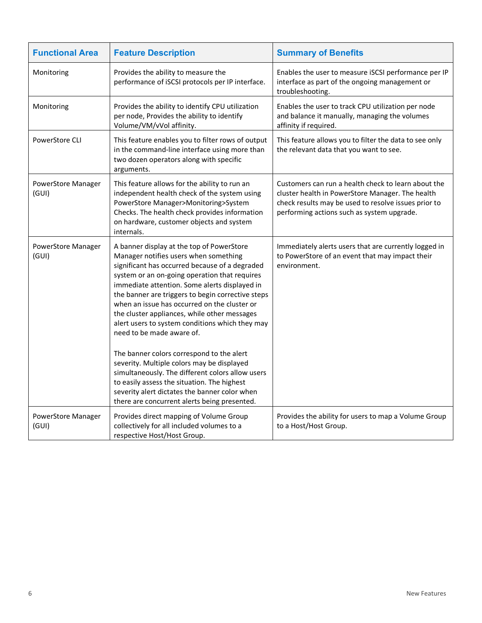| <b>Functional Area</b>      | <b>Feature Description</b>                                                                                                                                                                                                                                                                                                                                                                                                                                                                                                                                                                                                                                                | <b>Summary of Benefits</b>                                                                                                                                                                                    |
|-----------------------------|---------------------------------------------------------------------------------------------------------------------------------------------------------------------------------------------------------------------------------------------------------------------------------------------------------------------------------------------------------------------------------------------------------------------------------------------------------------------------------------------------------------------------------------------------------------------------------------------------------------------------------------------------------------------------|---------------------------------------------------------------------------------------------------------------------------------------------------------------------------------------------------------------|
| Monitoring                  | Provides the ability to measure the<br>performance of iSCSI protocols per IP interface.                                                                                                                                                                                                                                                                                                                                                                                                                                                                                                                                                                                   | Enables the user to measure iSCSI performance per IP<br>interface as part of the ongoing management or<br>troubleshooting.                                                                                    |
| Monitoring                  | Provides the ability to identify CPU utilization<br>per node, Provides the ability to identify<br>Volume/VM/vVol affinity.                                                                                                                                                                                                                                                                                                                                                                                                                                                                                                                                                | Enables the user to track CPU utilization per node<br>and balance it manually, managing the volumes<br>affinity if required.                                                                                  |
| PowerStore CLI              | This feature enables you to filter rows of output<br>in the command-line interface using more than<br>two dozen operators along with specific<br>arguments.                                                                                                                                                                                                                                                                                                                                                                                                                                                                                                               | This feature allows you to filter the data to see only<br>the relevant data that you want to see.                                                                                                             |
| PowerStore Manager<br>(GUI) | This feature allows for the ability to run an<br>independent health check of the system using<br>PowerStore Manager>Monitoring>System<br>Checks. The health check provides information<br>on hardware, customer objects and system<br>internals.                                                                                                                                                                                                                                                                                                                                                                                                                          | Customers can run a health check to learn about the<br>cluster health in PowerStore Manager. The health<br>check results may be used to resolve issues prior to<br>performing actions such as system upgrade. |
| PowerStore Manager<br>(GUI) | A banner display at the top of PowerStore<br>Manager notifies users when something<br>significant has occurred because of a degraded<br>system or an on-going operation that requires<br>immediate attention. Some alerts displayed in<br>the banner are triggers to begin corrective steps<br>when an issue has occurred on the cluster or<br>the cluster appliances, while other messages<br>alert users to system conditions which they may<br>need to be made aware of.<br>The banner colors correspond to the alert<br>severity. Multiple colors may be displayed<br>simultaneously. The different colors allow users<br>to easily assess the situation. The highest | Immediately alerts users that are currently logged in<br>to PowerStore of an event that may impact their<br>environment.                                                                                      |
|                             | severity alert dictates the banner color when<br>there are concurrent alerts being presented.                                                                                                                                                                                                                                                                                                                                                                                                                                                                                                                                                                             |                                                                                                                                                                                                               |
| PowerStore Manager<br>(GUI) | Provides direct mapping of Volume Group<br>collectively for all included volumes to a<br>respective Host/Host Group.                                                                                                                                                                                                                                                                                                                                                                                                                                                                                                                                                      | Provides the ability for users to map a Volume Group<br>to a Host/Host Group.                                                                                                                                 |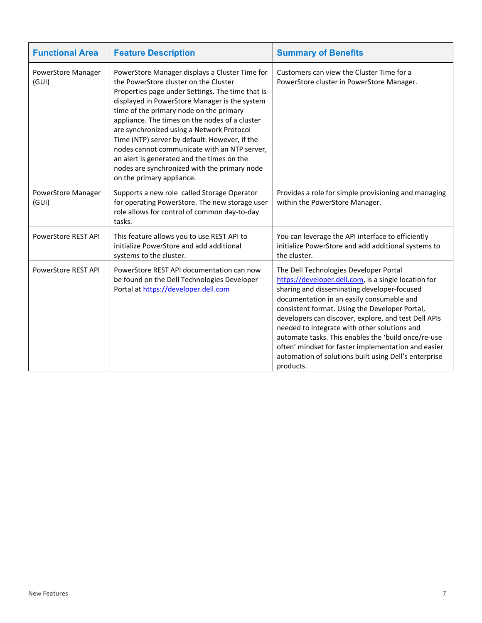| <b>Functional Area</b>      | <b>Feature Description</b>                                                                                                                                                                                                                                                                                                                                                                                                                                                                                                                                         | <b>Summary of Benefits</b>                                                                                                                                                                                                                                                                                                                                                                                                                                                                                                               |
|-----------------------------|--------------------------------------------------------------------------------------------------------------------------------------------------------------------------------------------------------------------------------------------------------------------------------------------------------------------------------------------------------------------------------------------------------------------------------------------------------------------------------------------------------------------------------------------------------------------|------------------------------------------------------------------------------------------------------------------------------------------------------------------------------------------------------------------------------------------------------------------------------------------------------------------------------------------------------------------------------------------------------------------------------------------------------------------------------------------------------------------------------------------|
| PowerStore Manager<br>(GUI) | PowerStore Manager displays a Cluster Time for<br>the PowerStore cluster on the Cluster<br>Properties page under Settings. The time that is<br>displayed in PowerStore Manager is the system<br>time of the primary node on the primary<br>appliance. The times on the nodes of a cluster<br>are synchronized using a Network Protocol<br>Time (NTP) server by default. However, if the<br>nodes cannot communicate with an NTP server,<br>an alert is generated and the times on the<br>nodes are synchronized with the primary node<br>on the primary appliance. | Customers can view the Cluster Time for a<br>PowerStore cluster in PowerStore Manager.                                                                                                                                                                                                                                                                                                                                                                                                                                                   |
| PowerStore Manager<br>(GUI) | Supports a new role called Storage Operator<br>for operating PowerStore. The new storage user<br>role allows for control of common day-to-day<br>tasks.                                                                                                                                                                                                                                                                                                                                                                                                            | Provides a role for simple provisioning and managing<br>within the PowerStore Manager.                                                                                                                                                                                                                                                                                                                                                                                                                                                   |
| PowerStore REST API         | This feature allows you to use REST API to<br>initialize PowerStore and add additional<br>systems to the cluster.                                                                                                                                                                                                                                                                                                                                                                                                                                                  | You can leverage the API interface to efficiently<br>initialize PowerStore and add additional systems to<br>the cluster.                                                                                                                                                                                                                                                                                                                                                                                                                 |
| <b>PowerStore REST API</b>  | PowerStore REST API documentation can now<br>be found on the Dell Technologies Developer<br>Portal at https://developer.dell.com                                                                                                                                                                                                                                                                                                                                                                                                                                   | The Dell Technologies Developer Portal<br>https://developer.dell.com, is a single location for<br>sharing and disseminating developer-focused<br>documentation in an easily consumable and<br>consistent format. Using the Developer Portal,<br>developers can discover, explore, and test Dell APIs<br>needed to integrate with other solutions and<br>automate tasks. This enables the 'build once/re-use<br>often' mindset for faster implementation and easier<br>automation of solutions built using Dell's enterprise<br>products. |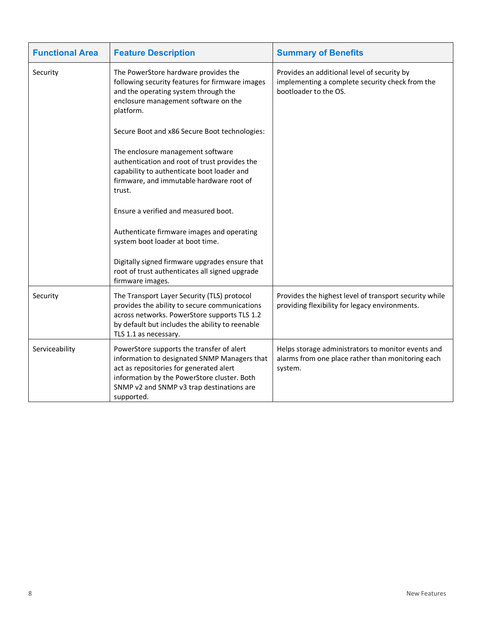| <b>Functional Area</b> | <b>Feature Description</b>                                                                                                                                                                                                                     | <b>Summary of Benefits</b>                                                                                              |
|------------------------|------------------------------------------------------------------------------------------------------------------------------------------------------------------------------------------------------------------------------------------------|-------------------------------------------------------------------------------------------------------------------------|
| Security               | The PowerStore hardware provides the<br>following security features for firmware images<br>and the operating system through the<br>enclosure management software on the<br>platform.                                                           | Provides an additional level of security by<br>implementing a complete security check from the<br>bootloader to the OS. |
|                        | Secure Boot and x86 Secure Boot technologies:                                                                                                                                                                                                  |                                                                                                                         |
|                        | The enclosure management software<br>authentication and root of trust provides the<br>capability to authenticate boot loader and<br>firmware, and immutable hardware root of<br>trust.                                                         |                                                                                                                         |
|                        | Ensure a verified and measured boot.                                                                                                                                                                                                           |                                                                                                                         |
|                        | Authenticate firmware images and operating<br>system boot loader at boot time.                                                                                                                                                                 |                                                                                                                         |
|                        | Digitally signed firmware upgrades ensure that<br>root of trust authenticates all signed upgrade<br>firmware images.                                                                                                                           |                                                                                                                         |
| Security               | The Transport Layer Security (TLS) protocol<br>provides the ability to secure communications<br>across networks. PowerStore supports TLS 1.2<br>by default but includes the ability to reenable<br>TLS 1.1 as necessary.                       | Provides the highest level of transport security while<br>providing flexibility for legacy environments.                |
| Serviceability         | PowerStore supports the transfer of alert<br>information to designated SNMP Managers that<br>act as repositories for generated alert<br>information by the PowerStore cluster. Both<br>SNMP v2 and SNMP v3 trap destinations are<br>supported. | Helps storage administrators to monitor events and<br>alarms from one place rather than monitoring each<br>system.      |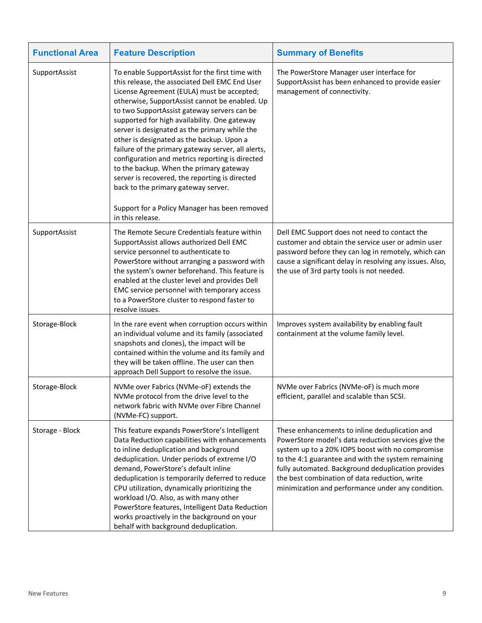| <b>Functional Area</b> | <b>Feature Description</b>                                                                                                                                                                                                                                                                                                                                                                                                                                                                                                                                                                                                                                                                                       | <b>Summary of Benefits</b>                                                                                                                                                                                                                                                                                                                                                  |
|------------------------|------------------------------------------------------------------------------------------------------------------------------------------------------------------------------------------------------------------------------------------------------------------------------------------------------------------------------------------------------------------------------------------------------------------------------------------------------------------------------------------------------------------------------------------------------------------------------------------------------------------------------------------------------------------------------------------------------------------|-----------------------------------------------------------------------------------------------------------------------------------------------------------------------------------------------------------------------------------------------------------------------------------------------------------------------------------------------------------------------------|
| SupportAssist          | To enable SupportAssist for the first time with<br>this release, the associated Dell EMC End User<br>License Agreement (EULA) must be accepted;<br>otherwise, SupportAssist cannot be enabled. Up<br>to two SupportAssist gateway servers can be<br>supported for high availability. One gateway<br>server is designated as the primary while the<br>other is designated as the backup. Upon a<br>failure of the primary gateway server, all alerts,<br>configuration and metrics reporting is directed<br>to the backup. When the primary gateway<br>server is recovered, the reporting is directed<br>back to the primary gateway server.<br>Support for a Policy Manager has been removed<br>in this release. | The PowerStore Manager user interface for<br>SupportAssist has been enhanced to provide easier<br>management of connectivity.                                                                                                                                                                                                                                               |
| SupportAssist          | The Remote Secure Credentials feature within<br>SupportAssist allows authorized Dell EMC<br>service personnel to authenticate to<br>PowerStore without arranging a password with<br>the system's owner beforehand. This feature is<br>enabled at the cluster level and provides Dell<br>EMC service personnel with temporary access<br>to a PowerStore cluster to respond faster to<br>resolve issues.                                                                                                                                                                                                                                                                                                           | Dell EMC Support does not need to contact the<br>customer and obtain the service user or admin user<br>password before they can log in remotely, which can<br>cause a significant delay in resolving any issues. Also,<br>the use of 3rd party tools is not needed.                                                                                                         |
| Storage-Block          | In the rare event when corruption occurs within<br>an individual volume and its family (associated<br>snapshots and clones), the impact will be<br>contained within the volume and its family and<br>they will be taken offline. The user can then<br>approach Dell Support to resolve the issue.                                                                                                                                                                                                                                                                                                                                                                                                                | Improves system availability by enabling fault<br>containment at the volume family level.                                                                                                                                                                                                                                                                                   |
| Storage-Block          | NVMe over Fabrics (NVMe-oF) extends the<br>NVMe protocol from the drive level to the<br>network fabric with NVMe over Fibre Channel<br>(NVMe-FC) support.                                                                                                                                                                                                                                                                                                                                                                                                                                                                                                                                                        | NVMe over Fabrics (NVMe-oF) is much more<br>efficient, parallel and scalable than SCSI.                                                                                                                                                                                                                                                                                     |
| Storage - Block        | This feature expands PowerStore's Intelligent<br>Data Reduction capabilities with enhancements<br>to inline deduplication and background<br>deduplication. Under periods of extreme I/O<br>demand, PowerStore's default inline<br>deduplication is temporarily deferred to reduce<br>CPU utilization, dynamically prioritizing the<br>workload I/O. Also, as with many other<br>PowerStore features, Intelligent Data Reduction<br>works proactively in the background on your<br>behalf with background deduplication.                                                                                                                                                                                          | These enhancements to inline deduplication and<br>PowerStore model's data reduction services give the<br>system up to a 20% IOPS boost with no compromise<br>to the 4:1 guarantee and with the system remaining<br>fully automated. Background deduplication provides<br>the best combination of data reduction, write<br>minimization and performance under any condition. |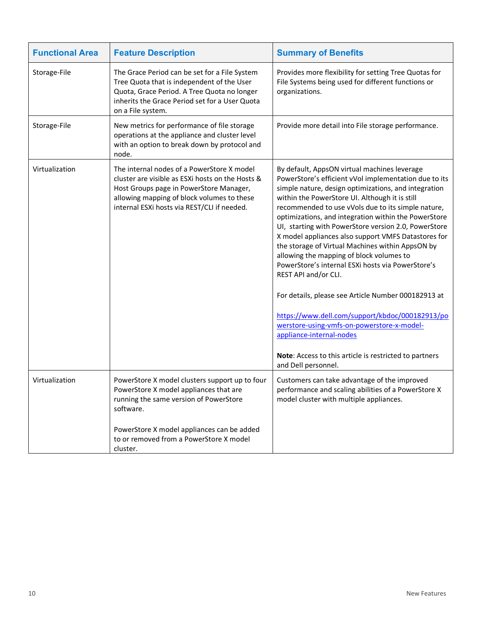| <b>Functional Area</b> | <b>Feature Description</b>                                                                                                                                                                                                             | <b>Summary of Benefits</b>                                                                                                                                                                                                                                                                                                                                                                                                                                                                                                                                                                                                                                                                                                                                                                                                                                                                     |
|------------------------|----------------------------------------------------------------------------------------------------------------------------------------------------------------------------------------------------------------------------------------|------------------------------------------------------------------------------------------------------------------------------------------------------------------------------------------------------------------------------------------------------------------------------------------------------------------------------------------------------------------------------------------------------------------------------------------------------------------------------------------------------------------------------------------------------------------------------------------------------------------------------------------------------------------------------------------------------------------------------------------------------------------------------------------------------------------------------------------------------------------------------------------------|
| Storage-File           | The Grace Period can be set for a File System<br>Tree Quota that is independent of the User<br>Quota, Grace Period. A Tree Quota no longer<br>inherits the Grace Period set for a User Quota<br>on a File system.                      | Provides more flexibility for setting Tree Quotas for<br>File Systems being used for different functions or<br>organizations.                                                                                                                                                                                                                                                                                                                                                                                                                                                                                                                                                                                                                                                                                                                                                                  |
| Storage-File           | New metrics for performance of file storage<br>operations at the appliance and cluster level<br>with an option to break down by protocol and<br>node.                                                                                  | Provide more detail into File storage performance.                                                                                                                                                                                                                                                                                                                                                                                                                                                                                                                                                                                                                                                                                                                                                                                                                                             |
| Virtualization         | The internal nodes of a PowerStore X model<br>cluster are visible as ESXi hosts on the Hosts &<br>Host Groups page in PowerStore Manager,<br>allowing mapping of block volumes to these<br>internal ESXi hosts via REST/CLI if needed. | By default, AppsON virtual machines leverage<br>PowerStore's efficient vVol implementation due to its<br>simple nature, design optimizations, and integration<br>within the PowerStore UI. Although it is still<br>recommended to use vVols due to its simple nature,<br>optimizations, and integration within the PowerStore<br>UI, starting with PowerStore version 2.0, PowerStore<br>X model appliances also support VMFS Datastores for<br>the storage of Virtual Machines within AppsON by<br>allowing the mapping of block volumes to<br>PowerStore's internal ESXi hosts via PowerStore's<br>REST API and/or CLI.<br>For details, please see Article Number 000182913 at<br>https://www.dell.com/support/kbdoc/000182913/po<br>werstore-using-vmfs-on-powerstore-x-model-<br>appliance-internal-nodes<br>Note: Access to this article is restricted to partners<br>and Dell personnel. |
| Virtualization         | PowerStore X model clusters support up to four<br>PowerStore X model appliances that are<br>running the same version of PowerStore<br>software.                                                                                        | Customers can take advantage of the improved<br>performance and scaling abilities of a PowerStore X<br>model cluster with multiple appliances.                                                                                                                                                                                                                                                                                                                                                                                                                                                                                                                                                                                                                                                                                                                                                 |
|                        | PowerStore X model appliances can be added<br>to or removed from a PowerStore X model<br>cluster.                                                                                                                                      |                                                                                                                                                                                                                                                                                                                                                                                                                                                                                                                                                                                                                                                                                                                                                                                                                                                                                                |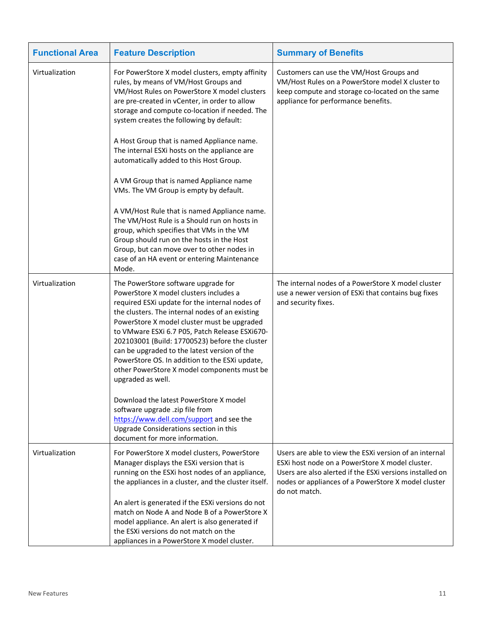| <b>Functional Area</b> | <b>Feature Description</b>                                                                                                                                                                                                                                                                                                                                                                                                                                                                                                                                                                                                                                                                                                                                                                                            | <b>Summary of Benefits</b>                                                                                                                                                                                                                    |
|------------------------|-----------------------------------------------------------------------------------------------------------------------------------------------------------------------------------------------------------------------------------------------------------------------------------------------------------------------------------------------------------------------------------------------------------------------------------------------------------------------------------------------------------------------------------------------------------------------------------------------------------------------------------------------------------------------------------------------------------------------------------------------------------------------------------------------------------------------|-----------------------------------------------------------------------------------------------------------------------------------------------------------------------------------------------------------------------------------------------|
| Virtualization         | For PowerStore X model clusters, empty affinity<br>rules, by means of VM/Host Groups and<br>VM/Host Rules on PowerStore X model clusters<br>are pre-created in vCenter, in order to allow<br>storage and compute co-location if needed. The<br>system creates the following by default:<br>A Host Group that is named Appliance name.<br>The internal ESXi hosts on the appliance are<br>automatically added to this Host Group.<br>A VM Group that is named Appliance name<br>VMs. The VM Group is empty by default.<br>A VM/Host Rule that is named Appliance name.<br>The VM/Host Rule is a Should run on hosts in<br>group, which specifies that VMs in the VM<br>Group should run on the hosts in the Host<br>Group, but can move over to other nodes in<br>case of an HA event or entering Maintenance<br>Mode. | Customers can use the VM/Host Groups and<br>VM/Host Rules on a PowerStore model X cluster to<br>keep compute and storage co-located on the same<br>appliance for performance benefits.                                                        |
| Virtualization         | The PowerStore software upgrade for<br>PowerStore X model clusters includes a<br>required ESXi update for the internal nodes of<br>the clusters. The internal nodes of an existing<br>PowerStore X model cluster must be upgraded<br>to VMware ESXi 6.7 P05, Patch Release ESXi670-<br>202103001 (Build: 17700523) before the cluster<br>can be upgraded to the latest version of the<br>PowerStore OS. In addition to the ESXi update,<br>other PowerStore X model components must be<br>upgraded as well.<br>Download the latest PowerStore X model<br>software upgrade .zip file from<br>https://www.dell.com/support and see the<br>Upgrade Considerations section in this<br>document for more information.                                                                                                      | The internal nodes of a PowerStore X model cluster<br>use a newer version of ESXi that contains bug fixes<br>and security fixes.                                                                                                              |
| Virtualization         | For PowerStore X model clusters, PowerStore<br>Manager displays the ESXi version that is<br>running on the ESXi host nodes of an appliance,<br>the appliances in a cluster, and the cluster itself.<br>An alert is generated if the ESXi versions do not<br>match on Node A and Node B of a PowerStore X<br>model appliance. An alert is also generated if<br>the ESXI versions do not match on the<br>appliances in a PowerStore X model cluster.                                                                                                                                                                                                                                                                                                                                                                    | Users are able to view the ESXI version of an internal<br>ESXi host node on a PowerStore X model cluster.<br>Users are also alerted if the ESXi versions installed on<br>nodes or appliances of a PowerStore X model cluster<br>do not match. |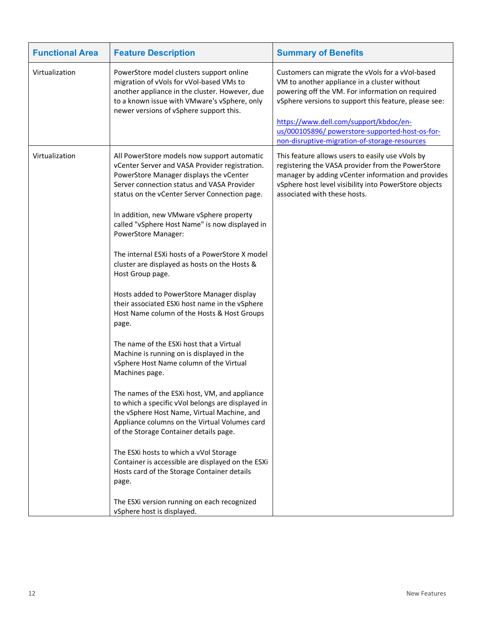| <b>Functional Area</b> | <b>Feature Description</b>                                                                                                                                                                                                                   | <b>Summary of Benefits</b>                                                                                                                                                                                                                              |
|------------------------|----------------------------------------------------------------------------------------------------------------------------------------------------------------------------------------------------------------------------------------------|---------------------------------------------------------------------------------------------------------------------------------------------------------------------------------------------------------------------------------------------------------|
| Virtualization         | PowerStore model clusters support online<br>migration of vVols for vVol-based VMs to<br>another appliance in the cluster. However, due<br>to a known issue with VMware's vSphere, only<br>newer versions of vSphere support this.            | Customers can migrate the vVols for a vVol-based<br>VM to another appliance in a cluster without<br>powering off the VM. For information on required<br>vSphere versions to support this feature, please see:<br>https://www.dell.com/support/kbdoc/en- |
|                        |                                                                                                                                                                                                                                              | us/000105896/ powerstore-supported-host-os-for-<br>non-disruptive-migration-of-storage-resources                                                                                                                                                        |
| Virtualization         | All PowerStore models now support automatic<br>vCenter Server and VASA Provider registration.<br>PowerStore Manager displays the vCenter<br>Server connection status and VASA Provider<br>status on the vCenter Server Connection page.      | This feature allows users to easily use vVols by<br>registering the VASA provider from the PowerStore<br>manager by adding vCenter information and provides<br>vSphere host level visibility into PowerStore objects<br>associated with these hosts.    |
|                        | In addition, new VMware vSphere property<br>called "vSphere Host Name" is now displayed in<br>PowerStore Manager:                                                                                                                            |                                                                                                                                                                                                                                                         |
|                        | The internal ESXi hosts of a PowerStore X model<br>cluster are displayed as hosts on the Hosts &<br>Host Group page.                                                                                                                         |                                                                                                                                                                                                                                                         |
|                        | Hosts added to PowerStore Manager display<br>their associated ESXi host name in the vSphere<br>Host Name column of the Hosts & Host Groups<br>page.                                                                                          |                                                                                                                                                                                                                                                         |
|                        | The name of the ESXi host that a Virtual<br>Machine is running on is displayed in the<br>vSphere Host Name column of the Virtual<br>Machines page.                                                                                           |                                                                                                                                                                                                                                                         |
|                        | The names of the ESXi host, VM, and appliance<br>to which a specific vVol belongs are displayed in<br>the vSphere Host Name, Virtual Machine, and<br>Appliance columns on the Virtual Volumes card<br>of the Storage Container details page. |                                                                                                                                                                                                                                                         |
|                        | The ESXi hosts to which a vVol Storage<br>Container is accessible are displayed on the ESXi<br>Hosts card of the Storage Container details<br>page.                                                                                          |                                                                                                                                                                                                                                                         |
|                        | The ESXi version running on each recognized<br>vSphere host is displayed.                                                                                                                                                                    |                                                                                                                                                                                                                                                         |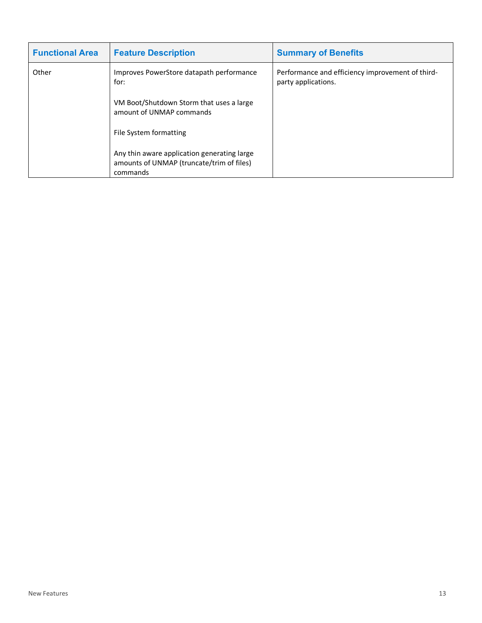| <b>Functional Area</b> | <b>Feature Description</b>                                                                           | <b>Summary of Benefits</b>                                              |  |
|------------------------|------------------------------------------------------------------------------------------------------|-------------------------------------------------------------------------|--|
| Other                  | Improves PowerStore datapath performance<br>for:                                                     | Performance and efficiency improvement of third-<br>party applications. |  |
|                        | VM Boot/Shutdown Storm that uses a large<br>amount of UNMAP commands                                 |                                                                         |  |
|                        | File System formatting                                                                               |                                                                         |  |
|                        | Any thin aware application generating large<br>amounts of UNMAP (truncate/trim of files)<br>commands |                                                                         |  |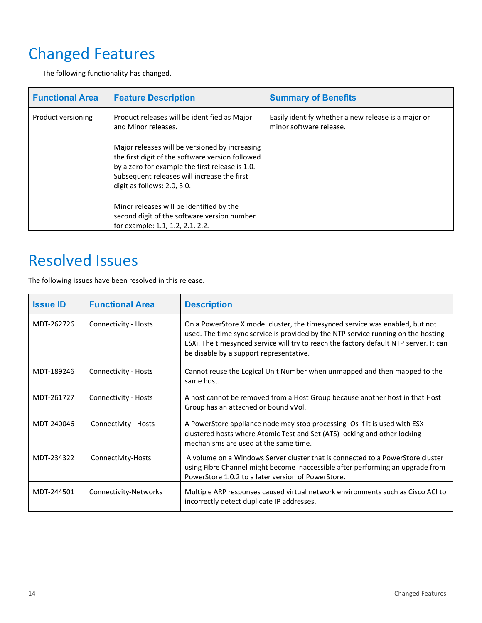# <span id="page-13-0"></span>Changed Features

The following functionality has changed.

| <b>Functional Area</b> | <b>Feature Description</b>                                                                                                                                                                                                          | <b>Summary of Benefits</b>                                                     |
|------------------------|-------------------------------------------------------------------------------------------------------------------------------------------------------------------------------------------------------------------------------------|--------------------------------------------------------------------------------|
| Product versioning     | Product releases will be identified as Major<br>and Minor releases.                                                                                                                                                                 | Easily identify whether a new release is a major or<br>minor software release. |
|                        | Major releases will be versioned by increasing<br>the first digit of the software version followed<br>by a zero for example the first release is 1.0.<br>Subsequent releases will increase the first<br>digit as follows: 2.0, 3.0. |                                                                                |
|                        | Minor releases will be identified by the<br>second digit of the software version number<br>for example: 1.1, 1.2, 2.1, 2.2.                                                                                                         |                                                                                |

# <span id="page-13-1"></span>Resolved Issues

The following issues have been resolved in this release.

| <b>Issue ID</b> | <b>Functional Area</b>      | <b>Description</b>                                                                                                                                                                                                                                                                                    |
|-----------------|-----------------------------|-------------------------------------------------------------------------------------------------------------------------------------------------------------------------------------------------------------------------------------------------------------------------------------------------------|
| MDT-262726      | Connectivity - Hosts        | On a PowerStore X model cluster, the timesynced service was enabled, but not<br>used. The time sync service is provided by the NTP service running on the hosting<br>ESXi. The timesynced service will try to reach the factory default NTP server. It can<br>be disable by a support representative. |
| MDT-189246      | <b>Connectivity - Hosts</b> | Cannot reuse the Logical Unit Number when unmapped and then mapped to the<br>same host.                                                                                                                                                                                                               |
| MDT-261727      | Connectivity - Hosts        | A host cannot be removed from a Host Group because another host in that Host<br>Group has an attached or bound vVol.                                                                                                                                                                                  |
| MDT-240046      | Connectivity - Hosts        | A PowerStore appliance node may stop processing IOs if it is used with ESX<br>clustered hosts where Atomic Test and Set (ATS) locking and other locking<br>mechanisms are used at the same time.                                                                                                      |
| MDT-234322      | Connectivity-Hosts          | A volume on a Windows Server cluster that is connected to a PowerStore cluster<br>using Fibre Channel might become inaccessible after performing an upgrade from<br>PowerStore 1.0.2 to a later version of PowerStore.                                                                                |
| MDT-244501      | Connectivity-Networks       | Multiple ARP responses caused virtual network environments such as Cisco ACI to<br>incorrectly detect duplicate IP addresses.                                                                                                                                                                         |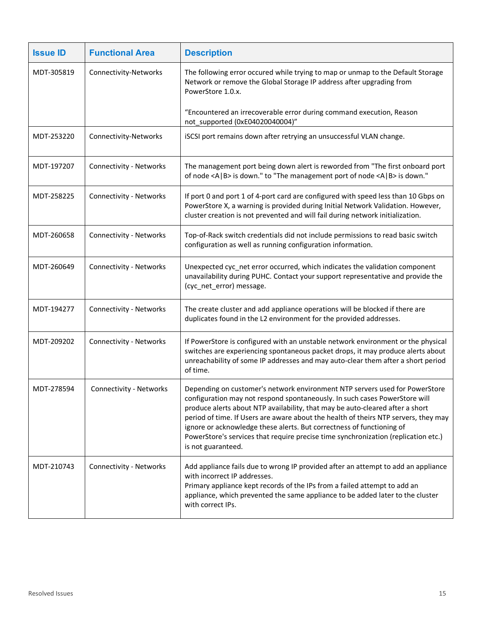| <b>Issue ID</b> | <b>Functional Area</b>         | <b>Description</b>                                                                                                                                                                                                                                                                                                                                                                                                                                                                                                     |
|-----------------|--------------------------------|------------------------------------------------------------------------------------------------------------------------------------------------------------------------------------------------------------------------------------------------------------------------------------------------------------------------------------------------------------------------------------------------------------------------------------------------------------------------------------------------------------------------|
| MDT-305819      | Connectivity-Networks          | The following error occured while trying to map or unmap to the Default Storage<br>Network or remove the Global Storage IP address after upgrading from<br>PowerStore 1.0.x.                                                                                                                                                                                                                                                                                                                                           |
|                 |                                | "Encountered an irrecoverable error during command execution, Reason<br>not_supported (0xE04020040004)"                                                                                                                                                                                                                                                                                                                                                                                                                |
| MDT-253220      | Connectivity-Networks          | iSCSI port remains down after retrying an unsuccessful VLAN change.                                                                                                                                                                                                                                                                                                                                                                                                                                                    |
| MDT-197207      | Connectivity - Networks        | The management port being down alert is reworded from "The first onboard port<br>of node <a b=""  =""> is down." to "The management port of node <a b=""  =""> is down."</a></a>                                                                                                                                                                                                                                                                                                                                       |
| MDT-258225      | Connectivity - Networks        | If port 0 and port 1 of 4-port card are configured with speed less than 10 Gbps on<br>PowerStore X, a warning is provided during Initial Network Validation. However,<br>cluster creation is not prevented and will fail during network initialization.                                                                                                                                                                                                                                                                |
| MDT-260658      | Connectivity - Networks        | Top-of-Rack switch credentials did not include permissions to read basic switch<br>configuration as well as running configuration information.                                                                                                                                                                                                                                                                                                                                                                         |
| MDT-260649      | <b>Connectivity - Networks</b> | Unexpected cyc_net error occurred, which indicates the validation component<br>unavailability during PUHC. Contact your support representative and provide the<br>(cyc_net_error) message.                                                                                                                                                                                                                                                                                                                             |
| MDT-194277      | Connectivity - Networks        | The create cluster and add appliance operations will be blocked if there are<br>duplicates found in the L2 environment for the provided addresses.                                                                                                                                                                                                                                                                                                                                                                     |
| MDT-209202      | Connectivity - Networks        | If PowerStore is configured with an unstable network environment or the physical<br>switches are experiencing spontaneous packet drops, it may produce alerts about<br>unreachability of some IP addresses and may auto-clear them after a short period<br>of time.                                                                                                                                                                                                                                                    |
| MDT-278594      | Connectivity - Networks        | Depending on customer's network environment NTP servers used for PowerStore<br>configuration may not respond spontaneously. In such cases PowerStore will<br>produce alerts about NTP availability, that may be auto-cleared after a short<br>period of time. If Users are aware about the health of theirs NTP servers, they may<br>ignore or acknowledge these alerts. But correctness of functioning of<br>PowerStore's services that require precise time synchronization (replication etc.)<br>is not guaranteed. |
| MDT-210743      | Connectivity - Networks        | Add appliance fails due to wrong IP provided after an attempt to add an appliance<br>with incorrect IP addresses.<br>Primary appliance kept records of the IPs from a failed attempt to add an<br>appliance, which prevented the same appliance to be added later to the cluster<br>with correct IPs.                                                                                                                                                                                                                  |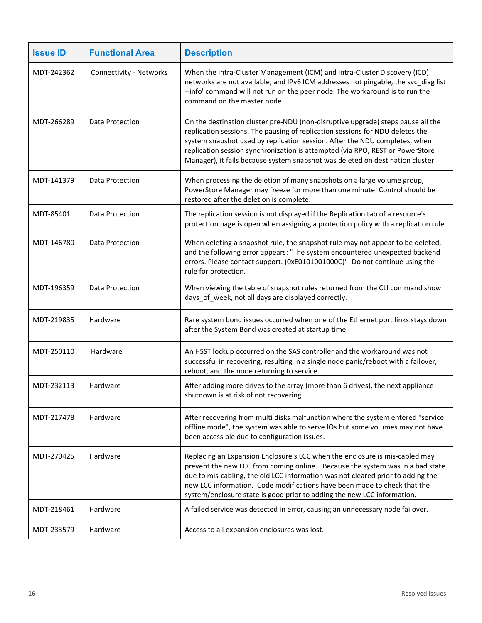| <b>Issue ID</b> | <b>Functional Area</b>  | <b>Description</b>                                                                                                                                                                                                                                                                                                                                                                                                |
|-----------------|-------------------------|-------------------------------------------------------------------------------------------------------------------------------------------------------------------------------------------------------------------------------------------------------------------------------------------------------------------------------------------------------------------------------------------------------------------|
| MDT-242362      | Connectivity - Networks | When the Intra-Cluster Management (ICM) and Intra-Cluster Discovery (ICD)<br>networks are not available, and IPv6 ICM addresses not pingable, the svc_diag list<br>--info' command will not run on the peer node. The workaround is to run the<br>command on the master node.                                                                                                                                     |
| MDT-266289      | Data Protection         | On the destination cluster pre-NDU (non-disruptive upgrade) steps pause all the<br>replication sessions. The pausing of replication sessions for NDU deletes the<br>system snapshot used by replication session. After the NDU completes, when<br>replication session synchronization is attempted (via RPO, REST or PowerStore<br>Manager), it fails because system snapshot was deleted on destination cluster. |
| MDT-141379      | Data Protection         | When processing the deletion of many snapshots on a large volume group,<br>PowerStore Manager may freeze for more than one minute. Control should be<br>restored after the deletion is complete.                                                                                                                                                                                                                  |
| MDT-85401       | Data Protection         | The replication session is not displayed if the Replication tab of a resource's<br>protection page is open when assigning a protection policy with a replication rule.                                                                                                                                                                                                                                            |
| MDT-146780      | Data Protection         | When deleting a snapshot rule, the snapshot rule may not appear to be deleted,<br>and the following error appears: "The system encountered unexpected backend<br>errors. Please contact support. (0xE0101001000C)". Do not continue using the<br>rule for protection.                                                                                                                                             |
| MDT-196359      | Data Protection         | When viewing the table of snapshot rules returned from the CLI command show<br>days_of_week, not all days are displayed correctly.                                                                                                                                                                                                                                                                                |
| MDT-219835      | Hardware                | Rare system bond issues occurred when one of the Ethernet port links stays down<br>after the System Bond was created at startup time.                                                                                                                                                                                                                                                                             |
| MDT-250110      | Hardware                | An HSST lockup occurred on the SAS controller and the workaround was not<br>successful in recovering, resulting in a single node panic/reboot with a failover,<br>reboot, and the node returning to service.                                                                                                                                                                                                      |
| MDT-232113      | Hardware                | After adding more drives to the array (more than 6 drives), the next appliance<br>shutdown is at risk of not recovering.                                                                                                                                                                                                                                                                                          |
| MDT-217478      | Hardware                | After recovering from multi disks malfunction where the system entered "service<br>offline mode", the system was able to serve IOs but some volumes may not have<br>been accessible due to configuration issues.                                                                                                                                                                                                  |
| MDT-270425      | Hardware                | Replacing an Expansion Enclosure's LCC when the enclosure is mis-cabled may<br>prevent the new LCC from coming online. Because the system was in a bad state<br>due to mis-cabling, the old LCC information was not cleared prior to adding the<br>new LCC information. Code modifications have been made to check that the<br>system/enclosure state is good prior to adding the new LCC information.            |
| MDT-218461      | Hardware                | A failed service was detected in error, causing an unnecessary node failover.                                                                                                                                                                                                                                                                                                                                     |
| MDT-233579      | Hardware                | Access to all expansion enclosures was lost.                                                                                                                                                                                                                                                                                                                                                                      |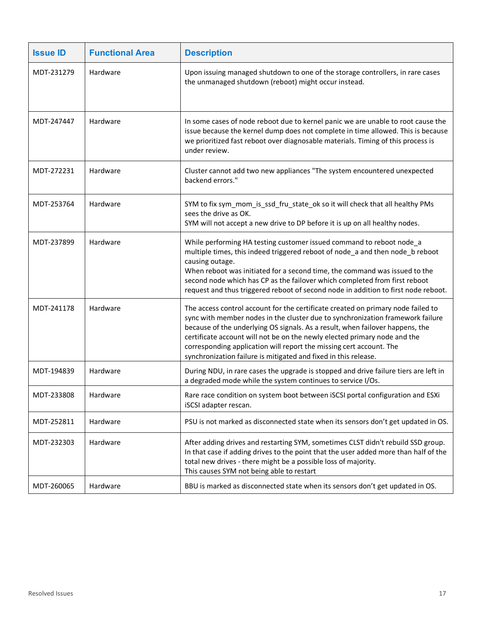| <b>Issue ID</b> | <b>Functional Area</b> | <b>Description</b>                                                                                                                                                                                                                                                                                                                                                                                                                                                         |
|-----------------|------------------------|----------------------------------------------------------------------------------------------------------------------------------------------------------------------------------------------------------------------------------------------------------------------------------------------------------------------------------------------------------------------------------------------------------------------------------------------------------------------------|
| MDT-231279      | Hardware               | Upon issuing managed shutdown to one of the storage controllers, in rare cases<br>the unmanaged shutdown (reboot) might occur instead.                                                                                                                                                                                                                                                                                                                                     |
| MDT-247447      | Hardware               | In some cases of node reboot due to kernel panic we are unable to root cause the<br>issue because the kernel dump does not complete in time allowed. This is because<br>we prioritized fast reboot over diagnosable materials. Timing of this process is<br>under review.                                                                                                                                                                                                  |
| MDT-272231      | Hardware               | Cluster cannot add two new appliances "The system encountered unexpected<br>backend errors."                                                                                                                                                                                                                                                                                                                                                                               |
| MDT-253764      | Hardware               | SYM to fix sym_mom_is_ssd_fru_state_ok so it will check that all healthy PMs<br>sees the drive as OK.<br>SYM will not accept a new drive to DP before it is up on all healthy nodes.                                                                                                                                                                                                                                                                                       |
| MDT-237899      | Hardware               | While performing HA testing customer issued command to reboot node_a<br>multiple times, this indeed triggered reboot of node_a and then node_b reboot<br>causing outage.<br>When reboot was initiated for a second time, the command was issued to the<br>second node which has CP as the failover which completed from first reboot<br>request and thus triggered reboot of second node in addition to first node reboot.                                                 |
| MDT-241178      | Hardware               | The access control account for the certificate created on primary node failed to<br>sync with member nodes in the cluster due to synchronization framework failure<br>because of the underlying OS signals. As a result, when failover happens, the<br>certificate account will not be on the newly elected primary node and the<br>corresponding application will report the missing cert account. The<br>synchronization failure is mitigated and fixed in this release. |
| MDT-194839      | Hardware               | During NDU, in rare cases the upgrade is stopped and drive failure tiers are left in<br>a degraded mode while the system continues to service I/Os.                                                                                                                                                                                                                                                                                                                        |
| MDT-233808      | Hardware               | Rare race condition on system boot between iSCSI portal configuration and ESXi<br>iSCSI adapter rescan.                                                                                                                                                                                                                                                                                                                                                                    |
| MDT-252811      | Hardware               | PSU is not marked as disconnected state when its sensors don't get updated in OS.                                                                                                                                                                                                                                                                                                                                                                                          |
| MDT-232303      | Hardware               | After adding drives and restarting SYM, sometimes CLST didn't rebuild SSD group.<br>In that case if adding drives to the point that the user added more than half of the<br>total new drives - there might be a possible loss of majority.<br>This causes SYM not being able to restart                                                                                                                                                                                    |
| MDT-260065      | Hardware               | BBU is marked as disconnected state when its sensors don't get updated in OS.                                                                                                                                                                                                                                                                                                                                                                                              |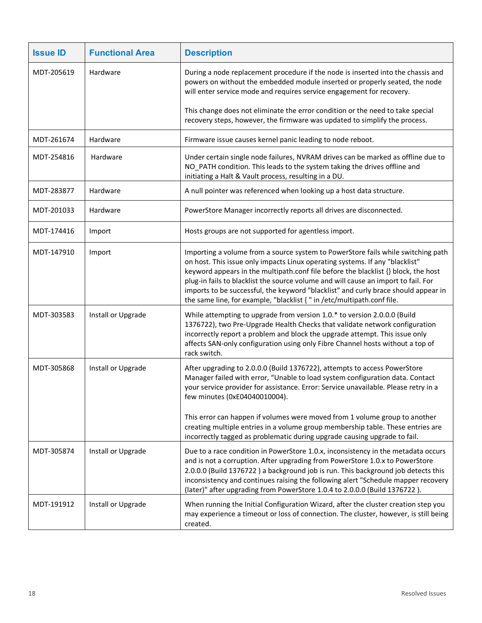| <b>Issue ID</b> | <b>Functional Area</b> | <b>Description</b>                                                                                                                                                                                                                                                                                                                                                                                                                                                                                            |
|-----------------|------------------------|---------------------------------------------------------------------------------------------------------------------------------------------------------------------------------------------------------------------------------------------------------------------------------------------------------------------------------------------------------------------------------------------------------------------------------------------------------------------------------------------------------------|
| MDT-205619      | Hardware               | During a node replacement procedure if the node is inserted into the chassis and<br>powers on without the embedded module inserted or properly seated, the node<br>will enter service mode and requires service engagement for recovery.                                                                                                                                                                                                                                                                      |
|                 |                        | This change does not eliminate the error condition or the need to take special<br>recovery steps, however, the firmware was updated to simplify the process.                                                                                                                                                                                                                                                                                                                                                  |
| MDT-261674      | Hardware               | Firmware issue causes kernel panic leading to node reboot.                                                                                                                                                                                                                                                                                                                                                                                                                                                    |
| MDT-254816      | Hardware               | Under certain single node failures, NVRAM drives can be marked as offline due to<br>NO_PATH condition. This leads to the system taking the drives offline and<br>initiating a Halt & Vault process, resulting in a DU.                                                                                                                                                                                                                                                                                        |
| MDT-283877      | Hardware               | A null pointer was referenced when looking up a host data structure.                                                                                                                                                                                                                                                                                                                                                                                                                                          |
| MDT-201033      | Hardware               | PowerStore Manager incorrectly reports all drives are disconnected.                                                                                                                                                                                                                                                                                                                                                                                                                                           |
| MDT-174416      | Import                 | Hosts groups are not supported for agentless import.                                                                                                                                                                                                                                                                                                                                                                                                                                                          |
| MDT-147910      | Import                 | Importing a volume from a source system to PowerStore fails while switching path<br>on host. This issue only impacts Linux operating systems. If any "blacklist"<br>keyword appears in the multipath.conf file before the blacklist {} block, the host<br>plug-in fails to blacklist the source volume and will cause an import to fail. For<br>imports to be successful, the keyword "blacklist" and curly brace should appear in<br>the same line, for example, "blacklist { " in /etc/multipath.conf file. |
| MDT-303583      | Install or Upgrade     | While attempting to upgrade from version 1.0.* to version 2.0.0.0 (Build<br>1376722), two Pre-Upgrade Health Checks that validate network configuration<br>incorrectly report a problem and block the upgrade attempt. This issue only<br>affects SAN-only configuration using only Fibre Channel hosts without a top of<br>rack switch.                                                                                                                                                                      |
| MDT-305868      | Install or Upgrade     | After upgrading to 2.0.0.0 (Build 1376722), attempts to access PowerStore<br>Manager failed with error, "Unable to load system configuration data. Contact<br>your service provider for assistance. Error: Service unavailable. Please retry in a<br>few minutes (0xE04040010004).                                                                                                                                                                                                                            |
|                 |                        | This error can happen if volumes were moved from 1 volume group to another<br>creating multiple entries in a volume group membership table. These entries are<br>incorrectly tagged as problematic during upgrade causing upgrade to fail.                                                                                                                                                                                                                                                                    |
| MDT-305874      | Install or Upgrade     | Due to a race condition in PowerStore 1.0.x, inconsistency in the metadata occurs<br>and is not a corruption. After upgrading from PowerStore 1.0.x to PowerStore<br>2.0.0.0 (Build 1376722) a background job is run. This background job detects this<br>inconsistency and continues raising the following alert "Schedule mapper recovery<br>(later)" after upgrading from PowerStore 1.0.4 to 2.0.0.0 (Build 1376722).                                                                                     |
| MDT-191912      | Install or Upgrade     | When running the Initial Configuration Wizard, after the cluster creation step you<br>may experience a timeout or loss of connection. The cluster, however, is still being<br>created.                                                                                                                                                                                                                                                                                                                        |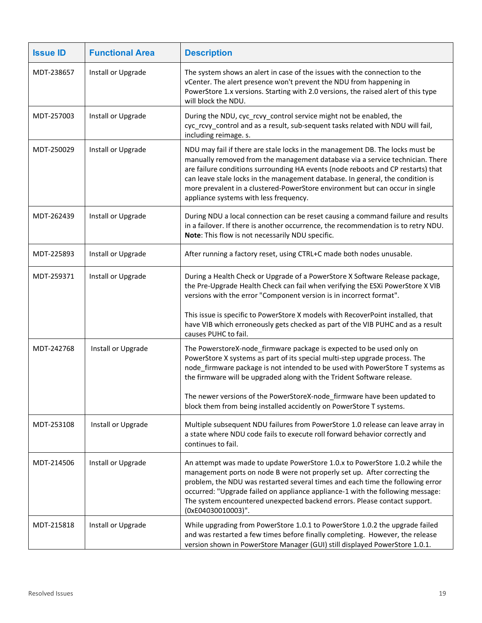| <b>Issue ID</b> | <b>Functional Area</b> | <b>Description</b>                                                                                                                                                                                                                                                                                                                                                                                                                                             |
|-----------------|------------------------|----------------------------------------------------------------------------------------------------------------------------------------------------------------------------------------------------------------------------------------------------------------------------------------------------------------------------------------------------------------------------------------------------------------------------------------------------------------|
| MDT-238657      | Install or Upgrade     | The system shows an alert in case of the issues with the connection to the<br>vCenter. The alert presence won't prevent the NDU from happening in<br>PowerStore 1.x versions. Starting with 2.0 versions, the raised alert of this type<br>will block the NDU.                                                                                                                                                                                                 |
| MDT-257003      | Install or Upgrade     | During the NDU, cyc_rcvy_control service might not be enabled, the<br>cyc_rcvy_control and as a result, sub-sequent tasks related with NDU will fail,<br>including reimage. s.                                                                                                                                                                                                                                                                                 |
| MDT-250029      | Install or Upgrade     | NDU may fail if there are stale locks in the management DB. The locks must be<br>manually removed from the management database via a service technician. There<br>are failure conditions surrounding HA events (node reboots and CP restarts) that<br>can leave stale locks in the management database. In general, the condition is<br>more prevalent in a clustered-PowerStore environment but can occur in single<br>appliance systems with less frequency. |
| MDT-262439      | Install or Upgrade     | During NDU a local connection can be reset causing a command failure and results<br>in a failover. If there is another occurrence, the recommendation is to retry NDU.<br>Note: This flow is not necessarily NDU specific.                                                                                                                                                                                                                                     |
| MDT-225893      | Install or Upgrade     | After running a factory reset, using CTRL+C made both nodes unusable.                                                                                                                                                                                                                                                                                                                                                                                          |
| MDT-259371      | Install or Upgrade     | During a Health Check or Upgrade of a PowerStore X Software Release package,<br>the Pre-Upgrade Health Check can fail when verifying the ESXi PowerStore X VIB<br>versions with the error "Component version is in incorrect format".<br>This issue is specific to PowerStore X models with RecoverPoint installed, that<br>have VIB which erroneously gets checked as part of the VIB PUHC and as a result                                                    |
|                 |                        | causes PUHC to fail.                                                                                                                                                                                                                                                                                                                                                                                                                                           |
| MDT-242768      | Install or Upgrade     | The PowerstoreX-node_firmware package is expected to be used only on<br>PowerStore X systems as part of its special multi-step upgrade process. The<br>node_firmware package is not intended to be used with PowerStore T systems as<br>the firmware will be upgraded along with the Trident Software release.                                                                                                                                                 |
|                 |                        | The newer versions of the PowerStoreX-node_firmware have been updated to<br>block them from being installed accidently on PowerStore T systems.                                                                                                                                                                                                                                                                                                                |
| MDT-253108      | Install or Upgrade     | Multiple subsequent NDU failures from PowerStore 1.0 release can leave array in<br>a state where NDU code fails to execute roll forward behavior correctly and<br>continues to fail.                                                                                                                                                                                                                                                                           |
| MDT-214506      | Install or Upgrade     | An attempt was made to update PowerStore 1.0.x to PowerStore 1.0.2 while the<br>management ports on node B were not properly set up. After correcting the<br>problem, the NDU was restarted several times and each time the following error<br>occurred: "Upgrade failed on appliance appliance-1 with the following message:<br>The system encountered unexpected backend errors. Please contact support.<br>(0xE04030010003)".                               |
| MDT-215818      | Install or Upgrade     | While upgrading from PowerStore 1.0.1 to PowerStore 1.0.2 the upgrade failed<br>and was restarted a few times before finally completing. However, the release<br>version shown in PowerStore Manager (GUI) still displayed PowerStore 1.0.1.                                                                                                                                                                                                                   |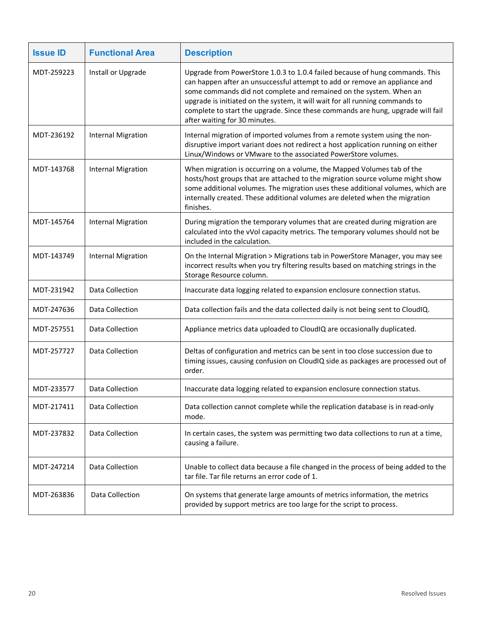| <b>Issue ID</b> | <b>Functional Area</b>    | <b>Description</b>                                                                                                                                                                                                                                                                                                                                                                                                                   |
|-----------------|---------------------------|--------------------------------------------------------------------------------------------------------------------------------------------------------------------------------------------------------------------------------------------------------------------------------------------------------------------------------------------------------------------------------------------------------------------------------------|
| MDT-259223      | Install or Upgrade        | Upgrade from PowerStore 1.0.3 to 1.0.4 failed because of hung commands. This<br>can happen after an unsuccessful attempt to add or remove an appliance and<br>some commands did not complete and remained on the system. When an<br>upgrade is initiated on the system, it will wait for all running commands to<br>complete to start the upgrade. Since these commands are hung, upgrade will fail<br>after waiting for 30 minutes. |
| MDT-236192      | <b>Internal Migration</b> | Internal migration of imported volumes from a remote system using the non-<br>disruptive import variant does not redirect a host application running on either<br>Linux/Windows or VMware to the associated PowerStore volumes.                                                                                                                                                                                                      |
| MDT-143768      | <b>Internal Migration</b> | When migration is occurring on a volume, the Mapped Volumes tab of the<br>hosts/host groups that are attached to the migration source volume might show<br>some additional volumes. The migration uses these additional volumes, which are<br>internally created. These additional volumes are deleted when the migration<br>finishes.                                                                                               |
| MDT-145764      | <b>Internal Migration</b> | During migration the temporary volumes that are created during migration are<br>calculated into the vVol capacity metrics. The temporary volumes should not be<br>included in the calculation.                                                                                                                                                                                                                                       |
| MDT-143749      | <b>Internal Migration</b> | On the Internal Migration > Migrations tab in PowerStore Manager, you may see<br>incorrect results when you try filtering results based on matching strings in the<br>Storage Resource column.                                                                                                                                                                                                                                       |
| MDT-231942      | Data Collection           | Inaccurate data logging related to expansion enclosure connection status.                                                                                                                                                                                                                                                                                                                                                            |
| MDT-247636      | Data Collection           | Data collection fails and the data collected daily is not being sent to CloudIQ.                                                                                                                                                                                                                                                                                                                                                     |
| MDT-257551      | Data Collection           | Appliance metrics data uploaded to CloudIQ are occasionally duplicated.                                                                                                                                                                                                                                                                                                                                                              |
| MDT-257727      | Data Collection           | Deltas of configuration and metrics can be sent in too close succession due to<br>timing issues, causing confusion on CloudIQ side as packages are processed out of<br>order.                                                                                                                                                                                                                                                        |
| MDT-233577      | Data Collection           | Inaccurate data logging related to expansion enclosure connection status.                                                                                                                                                                                                                                                                                                                                                            |
| MDT-217411      | Data Collection           | Data collection cannot complete while the replication database is in read-only<br>mode.                                                                                                                                                                                                                                                                                                                                              |
| MDT-237832      | Data Collection           | In certain cases, the system was permitting two data collections to run at a time,<br>causing a failure.                                                                                                                                                                                                                                                                                                                             |
| MDT-247214      | Data Collection           | Unable to collect data because a file changed in the process of being added to the<br>tar file. Tar file returns an error code of 1.                                                                                                                                                                                                                                                                                                 |
| MDT-263836      | Data Collection           | On systems that generate large amounts of metrics information, the metrics<br>provided by support metrics are too large for the script to process.                                                                                                                                                                                                                                                                                   |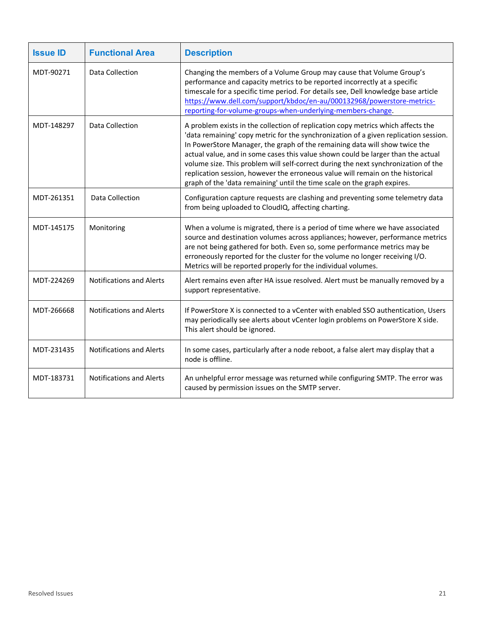| <b>Issue ID</b> | <b>Functional Area</b>          | <b>Description</b>                                                                                                                                                                                                                                                                                                                                                                                                                                                                                                                                                                             |
|-----------------|---------------------------------|------------------------------------------------------------------------------------------------------------------------------------------------------------------------------------------------------------------------------------------------------------------------------------------------------------------------------------------------------------------------------------------------------------------------------------------------------------------------------------------------------------------------------------------------------------------------------------------------|
| MDT-90271       | Data Collection                 | Changing the members of a Volume Group may cause that Volume Group's<br>performance and capacity metrics to be reported incorrectly at a specific<br>timescale for a specific time period. For details see, Dell knowledge base article<br>https://www.dell.com/support/kbdoc/en-au/000132968/powerstore-metrics-<br>reporting-for-volume-groups-when-underlying-members-change.                                                                                                                                                                                                               |
| MDT-148297      | Data Collection                 | A problem exists in the collection of replication copy metrics which affects the<br>'data remaining' copy metric for the synchronization of a given replication session.<br>In PowerStore Manager, the graph of the remaining data will show twice the<br>actual value, and in some cases this value shown could be larger than the actual<br>volume size. This problem will self-correct during the next synchronization of the<br>replication session, however the erroneous value will remain on the historical<br>graph of the 'data remaining' until the time scale on the graph expires. |
| MDT-261351      | Data Collection                 | Configuration capture requests are clashing and preventing some telemetry data<br>from being uploaded to CloudIQ, affecting charting.                                                                                                                                                                                                                                                                                                                                                                                                                                                          |
| MDT-145175      | Monitoring                      | When a volume is migrated, there is a period of time where we have associated<br>source and destination volumes across appliances; however, performance metrics<br>are not being gathered for both. Even so, some performance metrics may be<br>erroneously reported for the cluster for the volume no longer receiving I/O.<br>Metrics will be reported properly for the individual volumes.                                                                                                                                                                                                  |
| MDT-224269      | <b>Notifications and Alerts</b> | Alert remains even after HA issue resolved. Alert must be manually removed by a<br>support representative.                                                                                                                                                                                                                                                                                                                                                                                                                                                                                     |
| MDT-266668      | <b>Notifications and Alerts</b> | If PowerStore X is connected to a vCenter with enabled SSO authentication, Users<br>may periodically see alerts about vCenter login problems on PowerStore X side.<br>This alert should be ignored.                                                                                                                                                                                                                                                                                                                                                                                            |
| MDT-231435      | <b>Notifications and Alerts</b> | In some cases, particularly after a node reboot, a false alert may display that a<br>node is offline.                                                                                                                                                                                                                                                                                                                                                                                                                                                                                          |
| MDT-183731      | <b>Notifications and Alerts</b> | An unhelpful error message was returned while configuring SMTP. The error was<br>caused by permission issues on the SMTP server.                                                                                                                                                                                                                                                                                                                                                                                                                                                               |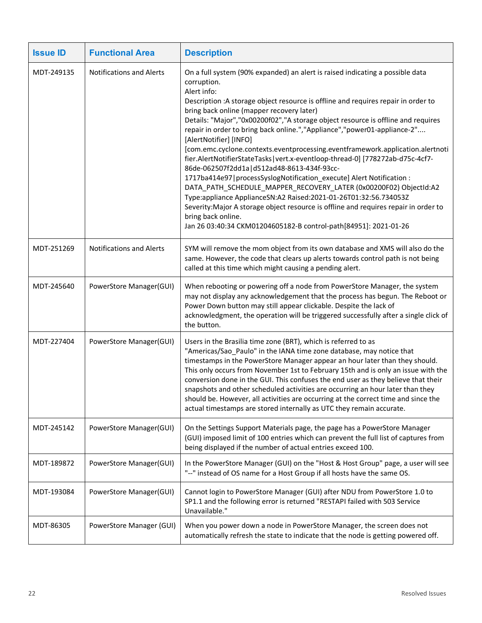| <b>Issue ID</b> | <b>Functional Area</b>          | <b>Description</b>                                                                                                                                                                                                                                                                                                                                                                                                                                                                                                                                                                                                                                                                                                                                                                                                                                                                                                                                                                                                                                                |
|-----------------|---------------------------------|-------------------------------------------------------------------------------------------------------------------------------------------------------------------------------------------------------------------------------------------------------------------------------------------------------------------------------------------------------------------------------------------------------------------------------------------------------------------------------------------------------------------------------------------------------------------------------------------------------------------------------------------------------------------------------------------------------------------------------------------------------------------------------------------------------------------------------------------------------------------------------------------------------------------------------------------------------------------------------------------------------------------------------------------------------------------|
| MDT-249135      | <b>Notifications and Alerts</b> | On a full system (90% expanded) an alert is raised indicating a possible data<br>corruption.<br>Alert info:<br>Description : A storage object resource is offline and requires repair in order to<br>bring back online (mapper recovery later)<br>Details: "Major", "0x00200f02", "A storage object resource is offline and requires<br>repair in order to bring back online.","Appliance","power01-appliance-2"<br>[AlertNotifier] [INFO]<br>[com.emc.cyclone.contexts.eventprocessing.eventframework.application.alertnoti<br>fier.AlertNotifierStateTasks vert.x-eventloop-thread-0] [778272ab-d75c-4cf7-<br>86de-062507f2dd1a   d512ad48-8613-434f-93cc-<br>1717ba414e97   processSyslogNotification_execute] Alert Notification :<br>DATA_PATH_SCHEDULE_MAPPER_RECOVERY_LATER (0x00200F02) ObjectId:A2<br>Type:appliance ApplianceSN:A2 Raised:2021-01-26T01:32:56.734053Z<br>Severity: Major A storage object resource is offline and requires repair in order to<br>bring back online.<br>Jan 26 03:40:34 CKM01204605182-B control-path[84951]: 2021-01-26 |
| MDT-251269      | <b>Notifications and Alerts</b> | SYM will remove the mom object from its own database and XMS will also do the<br>same. However, the code that clears up alerts towards control path is not being<br>called at this time which might causing a pending alert.                                                                                                                                                                                                                                                                                                                                                                                                                                                                                                                                                                                                                                                                                                                                                                                                                                      |
| MDT-245640      | PowerStore Manager(GUI)         | When rebooting or powering off a node from PowerStore Manager, the system<br>may not display any acknowledgement that the process has begun. The Reboot or<br>Power Down button may still appear clickable. Despite the lack of<br>acknowledgment, the operation will be triggered successfully after a single click of<br>the button.                                                                                                                                                                                                                                                                                                                                                                                                                                                                                                                                                                                                                                                                                                                            |
| MDT-227404      | PowerStore Manager(GUI)         | Users in the Brasilia time zone (BRT), which is referred to as<br>"Americas/Sao_Paulo" in the IANA time zone database, may notice that<br>timestamps in the PowerStore Manager appear an hour later than they should.<br>This only occurs from November 1st to February 15th and is only an issue with the<br>conversion done in the GUI. This confuses the end user as they believe that their<br>snapshots and other scheduled activities are occurring an hour later than they<br>should be. However, all activities are occurring at the correct time and since the<br>actual timestamps are stored internally as UTC they remain accurate.                                                                                                                                                                                                                                                                                                                                                                                                                   |
| MDT-245142      | PowerStore Manager(GUI)         | On the Settings Support Materials page, the page has a PowerStore Manager<br>(GUI) imposed limit of 100 entries which can prevent the full list of captures from<br>being displayed if the number of actual entries exceed 100.                                                                                                                                                                                                                                                                                                                                                                                                                                                                                                                                                                                                                                                                                                                                                                                                                                   |
| MDT-189872      | PowerStore Manager(GUI)         | In the PowerStore Manager (GUI) on the "Host & Host Group" page, a user will see<br>"--" instead of OS name for a Host Group if all hosts have the same OS.                                                                                                                                                                                                                                                                                                                                                                                                                                                                                                                                                                                                                                                                                                                                                                                                                                                                                                       |
| MDT-193084      | PowerStore Manager(GUI)         | Cannot login to PowerStore Manager (GUI) after NDU from PowerStore 1.0 to<br>SP1.1 and the following error is returned "RESTAPI failed with 503 Service<br>Unavailable."                                                                                                                                                                                                                                                                                                                                                                                                                                                                                                                                                                                                                                                                                                                                                                                                                                                                                          |
| MDT-86305       | PowerStore Manager (GUI)        | When you power down a node in PowerStore Manager, the screen does not<br>automatically refresh the state to indicate that the node is getting powered off.                                                                                                                                                                                                                                                                                                                                                                                                                                                                                                                                                                                                                                                                                                                                                                                                                                                                                                        |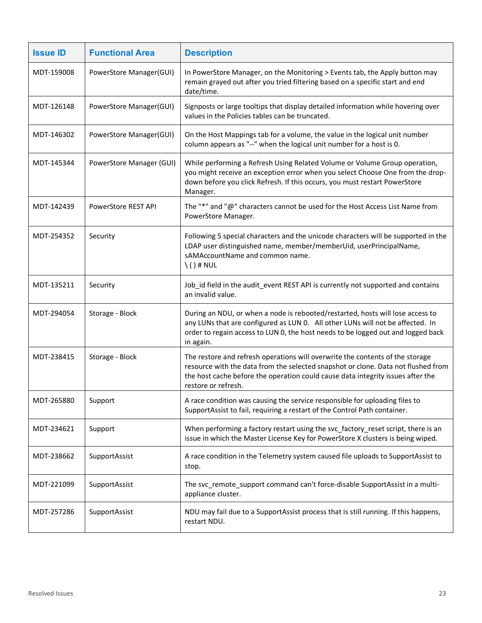| <b>Issue ID</b> | <b>Functional Area</b>     | <b>Description</b>                                                                                                                                                                                                                                                           |
|-----------------|----------------------------|------------------------------------------------------------------------------------------------------------------------------------------------------------------------------------------------------------------------------------------------------------------------------|
| MDT-159008      | PowerStore Manager(GUI)    | In PowerStore Manager, on the Monitoring > Events tab, the Apply button may<br>remain grayed out after you tried filtering based on a specific start and end<br>date/time.                                                                                                   |
| MDT-126148      | PowerStore Manager(GUI)    | Signposts or large tooltips that display detailed information while hovering over<br>values in the Policies tables can be truncated.                                                                                                                                         |
| MDT-146302      | PowerStore Manager(GUI)    | On the Host Mappings tab for a volume, the value in the logical unit number<br>column appears as "--" when the logical unit number for a host is 0.                                                                                                                          |
| MDT-145344      | PowerStore Manager (GUI)   | While performing a Refresh Using Related Volume or Volume Group operation,<br>you might receive an exception error when you select Choose One from the drop-<br>down before you click Refresh. If this occurs, you must restart PowerStore<br>Manager.                       |
| MDT-142439      | <b>PowerStore REST API</b> | The "*" and "@" characters cannot be used for the Host Access List Name from<br>PowerStore Manager.                                                                                                                                                                          |
| MDT-254352      | Security                   | Following 5 special characters and the unicode characters will be supported in the<br>LDAP user distinguished name, member/memberUid, userPrincipalName,<br>sAMAccountName and common name.<br>$\setminus$ () # NUL                                                          |
| MDT-135211      | Security                   | Job_id field in the audit_event REST API is currently not supported and contains<br>an invalid value.                                                                                                                                                                        |
| MDT-294054      | Storage - Block            | During an NDU, or when a node is rebooted/restarted, hosts will lose access to<br>any LUNs that are configured as LUN 0. All other LUNs will not be affected. In<br>order to regain access to LUN 0, the host needs to be logged out and logged back<br>in again.            |
| MDT-238415      | Storage - Block            | The restore and refresh operations will overwrite the contents of the storage<br>resource with the data from the selected snapshot or clone. Data not flushed from<br>the host cache before the operation could cause data integrity issues after the<br>restore or refresh. |
| MDT-265880      | Support                    | A race condition was causing the service responsible for uploading files to<br>SupportAssist to fail, requiring a restart of the Control Path container.                                                                                                                     |
| MDT-234621      | Support                    | When performing a factory restart using the svc_factory_reset script, there is an<br>issue in which the Master License Key for PowerStore X clusters is being wiped.                                                                                                         |
| MDT-238662      | SupportAssist              | A race condition in the Telemetry system caused file uploads to SupportAssist to<br>stop.                                                                                                                                                                                    |
| MDT-221099      | SupportAssist              | The svc_remote_support command can't force-disable SupportAssist in a multi-<br>appliance cluster.                                                                                                                                                                           |
| MDT-257286      | SupportAssist              | NDU may fail due to a SupportAssist process that is still running. If this happens,<br>restart NDU.                                                                                                                                                                          |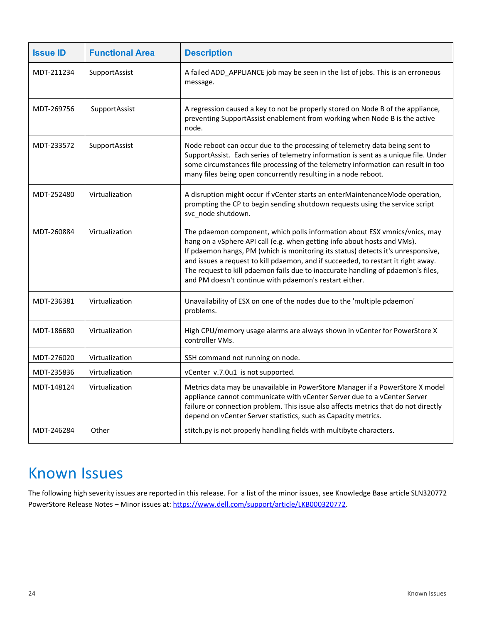| <b>Issue ID</b> | <b>Functional Area</b> | <b>Description</b>                                                                                                                                                                                                                                                                                                                                                                                                                                                            |
|-----------------|------------------------|-------------------------------------------------------------------------------------------------------------------------------------------------------------------------------------------------------------------------------------------------------------------------------------------------------------------------------------------------------------------------------------------------------------------------------------------------------------------------------|
| MDT-211234      | SupportAssist          | A failed ADD_APPLIANCE job may be seen in the list of jobs. This is an erroneous<br>message.                                                                                                                                                                                                                                                                                                                                                                                  |
| MDT-269756      | SupportAssist          | A regression caused a key to not be properly stored on Node B of the appliance,<br>preventing SupportAssist enablement from working when Node B is the active<br>node.                                                                                                                                                                                                                                                                                                        |
| MDT-233572      | SupportAssist          | Node reboot can occur due to the processing of telemetry data being sent to<br>SupportAssist. Each series of telemetry information is sent as a unique file. Under<br>some circumstances file processing of the telemetry information can result in too<br>many files being open concurrently resulting in a node reboot.                                                                                                                                                     |
| MDT-252480      | Virtualization         | A disruption might occur if vCenter starts an enterMaintenanceMode operation,<br>prompting the CP to begin sending shutdown requests using the service script<br>svc_node shutdown.                                                                                                                                                                                                                                                                                           |
| MDT-260884      | Virtualization         | The pdaemon component, which polls information about ESX vmnics/vnics, may<br>hang on a vSphere API call (e.g. when getting info about hosts and VMs).<br>If pdaemon hangs, PM (which is monitoring its status) detects it's unresponsive,<br>and issues a request to kill pdaemon, and if succeeded, to restart it right away.<br>The request to kill pdaemon fails due to inaccurate handling of pdaemon's files,<br>and PM doesn't continue with pdaemon's restart either. |
| MDT-236381      | Virtualization         | Unavailability of ESX on one of the nodes due to the 'multiple pdaemon'<br>problems.                                                                                                                                                                                                                                                                                                                                                                                          |
| MDT-186680      | Virtualization         | High CPU/memory usage alarms are always shown in vCenter for PowerStore X<br>controller VMs.                                                                                                                                                                                                                                                                                                                                                                                  |
| MDT-276020      | Virtualization         | SSH command not running on node.                                                                                                                                                                                                                                                                                                                                                                                                                                              |
| MDT-235836      | Virtualization         | vCenter v.7.0u1 is not supported.                                                                                                                                                                                                                                                                                                                                                                                                                                             |
| MDT-148124      | Virtualization         | Metrics data may be unavailable in PowerStore Manager if a PowerStore X model<br>appliance cannot communicate with vCenter Server due to a vCenter Server<br>failure or connection problem. This issue also affects metrics that do not directly<br>depend on vCenter Server statistics, such as Capacity metrics.                                                                                                                                                            |
| MDT-246284      | Other                  | stitch.py is not properly handling fields with multibyte characters.                                                                                                                                                                                                                                                                                                                                                                                                          |

## <span id="page-23-0"></span>Known Issues

The following high severity issues are reported in this release. For a list of the minor issues, see Knowledge Base article SLN320772 PowerStore Release Notes – Minor issues at: [https://www.dell.com/support/article/LKB000320772.](https://www.dell.com/support/article/LKB000320772)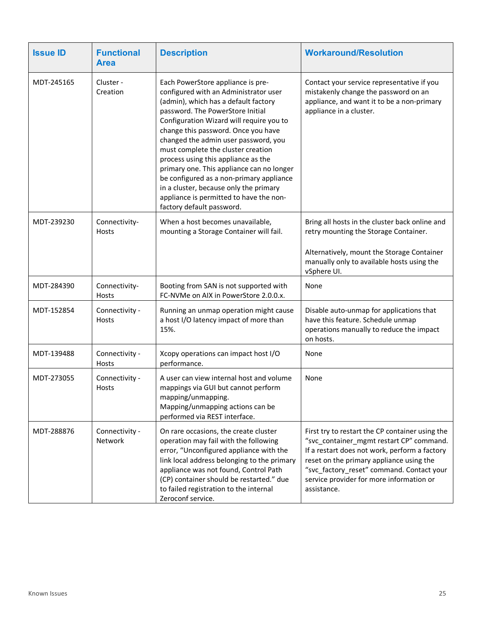| <b>Issue ID</b> | <b>Functional</b><br><b>Area</b> | <b>Description</b>                                                                                                                                                                                                                                                                                                                                                                                                                                                                                                                                                        | <b>Workaround/Resolution</b>                                                                                                                                                                                                                                                                     |
|-----------------|----------------------------------|---------------------------------------------------------------------------------------------------------------------------------------------------------------------------------------------------------------------------------------------------------------------------------------------------------------------------------------------------------------------------------------------------------------------------------------------------------------------------------------------------------------------------------------------------------------------------|--------------------------------------------------------------------------------------------------------------------------------------------------------------------------------------------------------------------------------------------------------------------------------------------------|
| MDT-245165      | Cluster -<br>Creation            | Each PowerStore appliance is pre-<br>configured with an Administrator user<br>(admin), which has a default factory<br>password. The PowerStore Initial<br>Configuration Wizard will require you to<br>change this password. Once you have<br>changed the admin user password, you<br>must complete the cluster creation<br>process using this appliance as the<br>primary one. This appliance can no longer<br>be configured as a non-primary appliance<br>in a cluster, because only the primary<br>appliance is permitted to have the non-<br>factory default password. | Contact your service representative if you<br>mistakenly change the password on an<br>appliance, and want it to be a non-primary<br>appliance in a cluster.                                                                                                                                      |
| MDT-239230      | Connectivity-<br><b>Hosts</b>    | When a host becomes unavailable,<br>mounting a Storage Container will fail.                                                                                                                                                                                                                                                                                                                                                                                                                                                                                               | Bring all hosts in the cluster back online and<br>retry mounting the Storage Container.                                                                                                                                                                                                          |
|                 |                                  |                                                                                                                                                                                                                                                                                                                                                                                                                                                                                                                                                                           | Alternatively, mount the Storage Container<br>manually only to available hosts using the<br>vSphere UI.                                                                                                                                                                                          |
| MDT-284390      | Connectivity-<br>Hosts           | Booting from SAN is not supported with<br>FC-NVMe on AIX in PowerStore 2.0.0.x.                                                                                                                                                                                                                                                                                                                                                                                                                                                                                           | None                                                                                                                                                                                                                                                                                             |
| MDT-152854      | Connectivity -<br><b>Hosts</b>   | Running an unmap operation might cause<br>a host I/O latency impact of more than<br>15%.                                                                                                                                                                                                                                                                                                                                                                                                                                                                                  | Disable auto-unmap for applications that<br>have this feature. Schedule unmap<br>operations manually to reduce the impact<br>on hosts.                                                                                                                                                           |
| MDT-139488      | Connectivity -<br>Hosts          | Xcopy operations can impact host I/O<br>performance.                                                                                                                                                                                                                                                                                                                                                                                                                                                                                                                      | None                                                                                                                                                                                                                                                                                             |
| MDT-273055      | Connectivity -<br>Hosts          | A user can view internal host and volume<br>mappings via GUI but cannot perform<br>mapping/unmapping.<br>Mapping/unmapping actions can be<br>performed via REST interface.                                                                                                                                                                                                                                                                                                                                                                                                | None                                                                                                                                                                                                                                                                                             |
| MDT-288876      | Connectivity -<br>Network        | On rare occasions, the create cluster<br>operation may fail with the following<br>error, "Unconfigured appliance with the<br>link local address belonging to the primary<br>appliance was not found, Control Path<br>(CP) container should be restarted." due<br>to failed registration to the internal<br>Zeroconf service.                                                                                                                                                                                                                                              | First try to restart the CP container using the<br>"svc_container_mgmt restart CP" command.<br>If a restart does not work, perform a factory<br>reset on the primary appliance using the<br>"svc_factory_reset" command. Contact your<br>service provider for more information or<br>assistance. |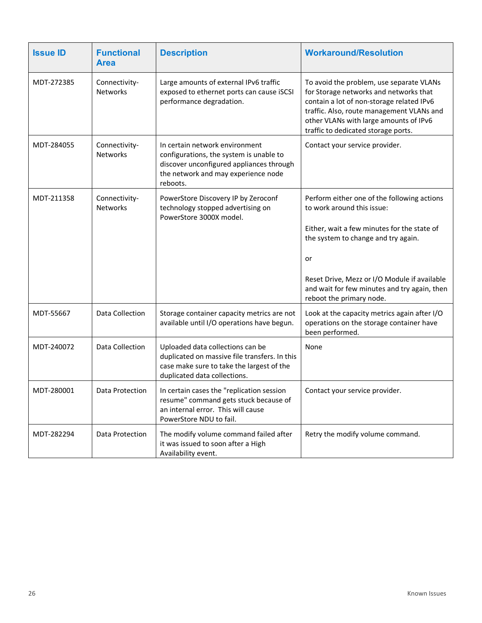| <b>Issue ID</b> | <b>Functional</b><br><b>Area</b> | <b>Description</b>                                                                                                                                                       | <b>Workaround/Resolution</b>                                                                                                                                                                                                                                                                      |
|-----------------|----------------------------------|--------------------------------------------------------------------------------------------------------------------------------------------------------------------------|---------------------------------------------------------------------------------------------------------------------------------------------------------------------------------------------------------------------------------------------------------------------------------------------------|
| MDT-272385      | Connectivity-<br><b>Networks</b> | Large amounts of external IPv6 traffic<br>exposed to ethernet ports can cause iSCSI<br>performance degradation.                                                          | To avoid the problem, use separate VLANs<br>for Storage networks and networks that<br>contain a lot of non-storage related IPv6<br>traffic. Also, route management VLANs and<br>other VLANs with large amounts of IPv6<br>traffic to dedicated storage ports.                                     |
| MDT-284055      | Connectivity-<br><b>Networks</b> | In certain network environment<br>configurations, the system is unable to<br>discover unconfigured appliances through<br>the network and may experience node<br>reboots. | Contact your service provider.                                                                                                                                                                                                                                                                    |
| MDT-211358      | Connectivity-<br>Networks        | PowerStore Discovery IP by Zeroconf<br>technology stopped advertising on<br>PowerStore 3000X model.                                                                      | Perform either one of the following actions<br>to work around this issue:<br>Either, wait a few minutes for the state of<br>the system to change and try again.<br>or<br>Reset Drive, Mezz or I/O Module if available<br>and wait for few minutes and try again, then<br>reboot the primary node. |
| MDT-55667       | Data Collection                  | Storage container capacity metrics are not<br>available until I/O operations have begun.                                                                                 | Look at the capacity metrics again after I/O<br>operations on the storage container have<br>been performed.                                                                                                                                                                                       |
| MDT-240072      | Data Collection                  | Uploaded data collections can be<br>duplicated on massive file transfers. In this<br>case make sure to take the largest of the<br>duplicated data collections.           | None                                                                                                                                                                                                                                                                                              |
| MDT-280001      | Data Protection                  | In certain cases the "replication session<br>resume" command gets stuck because of<br>an internal error. This will cause<br>PowerStore NDU to fail.                      | Contact your service provider.                                                                                                                                                                                                                                                                    |
| MDT-282294      | Data Protection                  | The modify volume command failed after<br>it was issued to soon after a High<br>Availability event.                                                                      | Retry the modify volume command.                                                                                                                                                                                                                                                                  |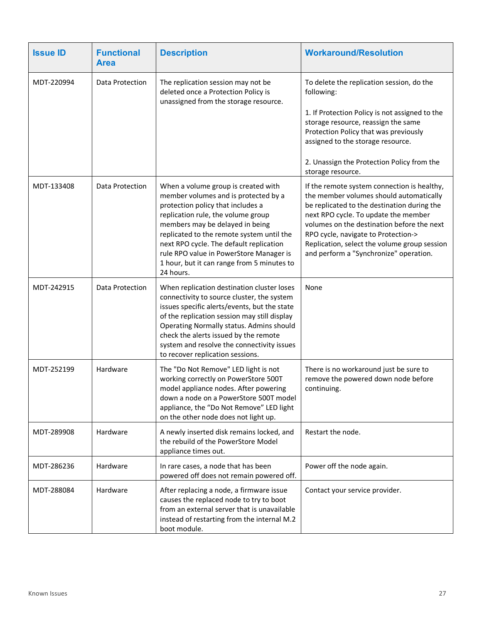| <b>Issue ID</b> | <b>Functional</b><br><b>Area</b> | <b>Description</b>                                                                                                                                                                                                                                                                                                                                                                      | <b>Workaround/Resolution</b>                                                                                                                                                                                                                                                                                                                                 |
|-----------------|----------------------------------|-----------------------------------------------------------------------------------------------------------------------------------------------------------------------------------------------------------------------------------------------------------------------------------------------------------------------------------------------------------------------------------------|--------------------------------------------------------------------------------------------------------------------------------------------------------------------------------------------------------------------------------------------------------------------------------------------------------------------------------------------------------------|
| MDT-220994      | Data Protection                  | The replication session may not be<br>deleted once a Protection Policy is<br>unassigned from the storage resource.                                                                                                                                                                                                                                                                      | To delete the replication session, do the<br>following:<br>1. If Protection Policy is not assigned to the<br>storage resource, reassign the same<br>Protection Policy that was previously<br>assigned to the storage resource.<br>2. Unassign the Protection Policy from the<br>storage resource.                                                            |
| MDT-133408      | Data Protection                  | When a volume group is created with<br>member volumes and is protected by a<br>protection policy that includes a<br>replication rule, the volume group<br>members may be delayed in being<br>replicated to the remote system until the<br>next RPO cycle. The default replication<br>rule RPO value in PowerStore Manager is<br>1 hour, but it can range from 5 minutes to<br>24 hours. | If the remote system connection is healthy,<br>the member volumes should automatically<br>be replicated to the destination during the<br>next RPO cycle. To update the member<br>volumes on the destination before the next<br>RPO cycle, navigate to Protection-><br>Replication, select the volume group session<br>and perform a "Synchronize" operation. |
| MDT-242915      | Data Protection                  | When replication destination cluster loses<br>connectivity to source cluster, the system<br>issues specific alerts/events, but the state<br>of the replication session may still display<br>Operating Normally status. Admins should<br>check the alerts issued by the remote<br>system and resolve the connectivity issues<br>to recover replication sessions.                         | None                                                                                                                                                                                                                                                                                                                                                         |
| MDT-252199      | Hardware                         | The "Do Not Remove" LED light is not<br>working correctly on PowerStore 500T<br>model appliance nodes. After powering<br>down a node on a PowerStore 500T model<br>appliance, the "Do Not Remove" LED light<br>on the other node does not light up.                                                                                                                                     | There is no workaround just be sure to<br>remove the powered down node before<br>continuing.                                                                                                                                                                                                                                                                 |
| MDT-289908      | Hardware                         | A newly inserted disk remains locked, and<br>the rebuild of the PowerStore Model<br>appliance times out.                                                                                                                                                                                                                                                                                | Restart the node.                                                                                                                                                                                                                                                                                                                                            |
| MDT-286236      | Hardware                         | In rare cases, a node that has been<br>powered off does not remain powered off.                                                                                                                                                                                                                                                                                                         | Power off the node again.                                                                                                                                                                                                                                                                                                                                    |
| MDT-288084      | Hardware                         | After replacing a node, a firmware issue<br>causes the replaced node to try to boot<br>from an external server that is unavailable<br>instead of restarting from the internal M.2<br>boot module.                                                                                                                                                                                       | Contact your service provider.                                                                                                                                                                                                                                                                                                                               |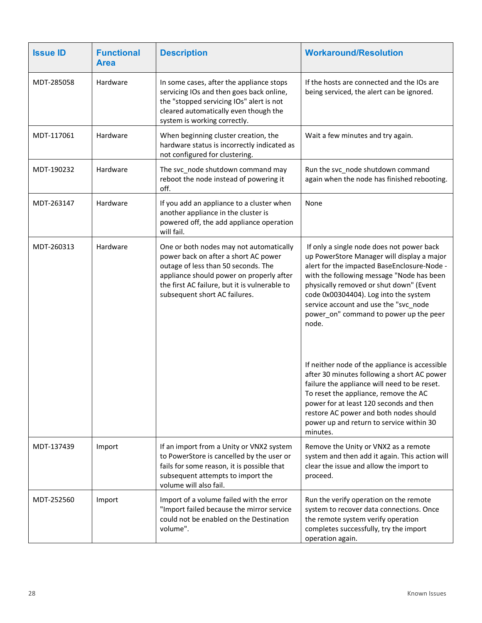| <b>Issue ID</b> | <b>Functional</b><br><b>Area</b> | <b>Description</b>                                                                                                                                                                                                                                   | <b>Workaround/Resolution</b>                                                                                                                                                                                                                                                                                                                                        |
|-----------------|----------------------------------|------------------------------------------------------------------------------------------------------------------------------------------------------------------------------------------------------------------------------------------------------|---------------------------------------------------------------------------------------------------------------------------------------------------------------------------------------------------------------------------------------------------------------------------------------------------------------------------------------------------------------------|
| MDT-285058      | Hardware                         | In some cases, after the appliance stops<br>servicing IOs and then goes back online,<br>the "stopped servicing IOs" alert is not<br>cleared automatically even though the<br>system is working correctly.                                            | If the hosts are connected and the IOs are<br>being serviced, the alert can be ignored.                                                                                                                                                                                                                                                                             |
| MDT-117061      | Hardware                         | When beginning cluster creation, the<br>hardware status is incorrectly indicated as<br>not configured for clustering.                                                                                                                                | Wait a few minutes and try again.                                                                                                                                                                                                                                                                                                                                   |
| MDT-190232      | Hardware                         | The svc_node shutdown command may<br>reboot the node instead of powering it<br>off.                                                                                                                                                                  | Run the svc_node shutdown command<br>again when the node has finished rebooting.                                                                                                                                                                                                                                                                                    |
| MDT-263147      | Hardware                         | If you add an appliance to a cluster when<br>another appliance in the cluster is<br>powered off, the add appliance operation<br>will fail.                                                                                                           | None                                                                                                                                                                                                                                                                                                                                                                |
| MDT-260313      | Hardware                         | One or both nodes may not automatically<br>power back on after a short AC power<br>outage of less than 50 seconds. The<br>appliance should power on properly after<br>the first AC failure, but it is vulnerable to<br>subsequent short AC failures. | If only a single node does not power back<br>up PowerStore Manager will display a major<br>alert for the impacted BaseEnclosure-Node -<br>with the following message "Node has been<br>physically removed or shut down" (Event<br>code 0x00304404). Log into the system<br>service account and use the "svc_node<br>power_on" command to power up the peer<br>node. |
|                 |                                  |                                                                                                                                                                                                                                                      | If neither node of the appliance is accessible<br>after 30 minutes following a short AC power<br>failure the appliance will need to be reset.<br>To reset the appliance, remove the AC<br>power for at least 120 seconds and then<br>restore AC power and both nodes should<br>power up and return to service within 30<br>minutes.                                 |
| MDT-137439      | Import                           | If an import from a Unity or VNX2 system<br>to PowerStore is cancelled by the user or<br>fails for some reason, it is possible that<br>subsequent attempts to import the<br>volume will also fail.                                                   | Remove the Unity or VNX2 as a remote<br>system and then add it again. This action will<br>clear the issue and allow the import to<br>proceed.                                                                                                                                                                                                                       |
| MDT-252560      | Import                           | Import of a volume failed with the error<br>"Import failed because the mirror service<br>could not be enabled on the Destination<br>volume".                                                                                                         | Run the verify operation on the remote<br>system to recover data connections. Once<br>the remote system verify operation<br>completes successfully, try the import<br>operation again.                                                                                                                                                                              |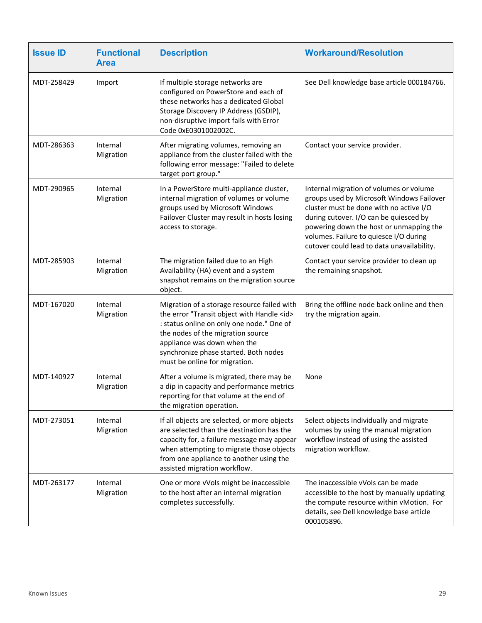| <b>Issue ID</b> | <b>Functional</b><br><b>Area</b> | <b>Description</b>                                                                                                                                                                                                                                                                             | <b>Workaround/Resolution</b>                                                                                                                                                                                                                                                                                 |
|-----------------|----------------------------------|------------------------------------------------------------------------------------------------------------------------------------------------------------------------------------------------------------------------------------------------------------------------------------------------|--------------------------------------------------------------------------------------------------------------------------------------------------------------------------------------------------------------------------------------------------------------------------------------------------------------|
| MDT-258429      | Import                           | If multiple storage networks are<br>configured on PowerStore and each of<br>these networks has a dedicated Global<br>Storage Discovery IP Address (GSDIP),<br>non-disruptive import fails with Error<br>Code 0xE0301002002C.                                                                   | See Dell knowledge base article 000184766.                                                                                                                                                                                                                                                                   |
| MDT-286363      | Internal<br>Migration            | After migrating volumes, removing an<br>appliance from the cluster failed with the<br>following error message: "Failed to delete<br>target port group."                                                                                                                                        | Contact your service provider.                                                                                                                                                                                                                                                                               |
| MDT-290965      | Internal<br>Migration            | In a PowerStore multi-appliance cluster,<br>internal migration of volumes or volume<br>groups used by Microsoft Windows<br>Failover Cluster may result in hosts losing<br>access to storage.                                                                                                   | Internal migration of volumes or volume<br>groups used by Microsoft Windows Failover<br>cluster must be done with no active I/O<br>during cutover. I/O can be quiesced by<br>powering down the host or unmapping the<br>volumes. Failure to quiesce I/O during<br>cutover could lead to data unavailability. |
| MDT-285903      | Internal<br>Migration            | The migration failed due to an High<br>Availability (HA) event and a system<br>snapshot remains on the migration source<br>object.                                                                                                                                                             | Contact your service provider to clean up<br>the remaining snapshot.                                                                                                                                                                                                                                         |
| MDT-167020      | Internal<br>Migration            | Migration of a storage resource failed with<br>the error "Transit object with Handle <id><br/>: status online on only one node." One of<br/>the nodes of the migration source<br/>appliance was down when the<br/>synchronize phase started. Both nodes<br/>must be online for migration.</id> | Bring the offline node back online and then<br>try the migration again.                                                                                                                                                                                                                                      |
| MDT-140927      | Internal<br>Migration            | After a volume is migrated, there may be<br>a dip in capacity and performance metrics<br>reporting for that volume at the end of<br>the migration operation.                                                                                                                                   | None                                                                                                                                                                                                                                                                                                         |
| MDT-273051      | Internal<br>Migration            | If all objects are selected, or more objects<br>are selected than the destination has the<br>capacity for, a failure message may appear<br>when attempting to migrate those objects<br>from one appliance to another using the<br>assisted migration workflow.                                 | Select objects individually and migrate<br>volumes by using the manual migration<br>workflow instead of using the assisted<br>migration workflow.                                                                                                                                                            |
| MDT-263177      | Internal<br>Migration            | One or more vVols might be inaccessible<br>to the host after an internal migration<br>completes successfully.                                                                                                                                                                                  | The inaccessible vVols can be made<br>accessible to the host by manually updating<br>the compute resource within vMotion. For<br>details, see Dell knowledge base article<br>000105896.                                                                                                                      |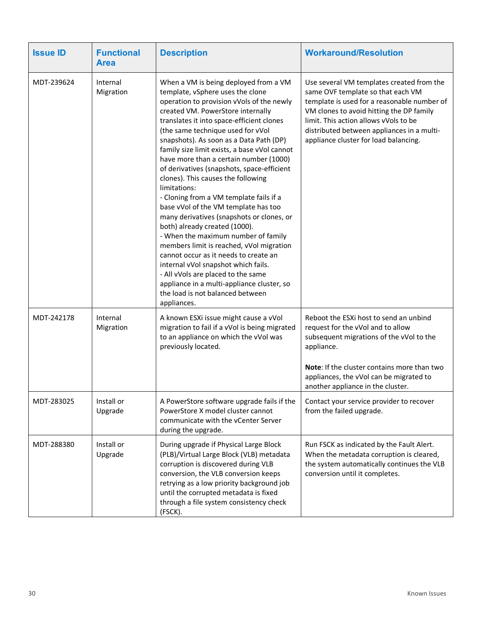| <b>Issue ID</b> | <b>Functional</b><br><b>Area</b> | <b>Description</b>                                                                                                                                                                                                                                                                                                                                                                                                                                                                                                                                                                                                                                                                                                                                                                                                                                                                                                                                                | <b>Workaround/Resolution</b>                                                                                                                                                                                                                                                                              |
|-----------------|----------------------------------|-------------------------------------------------------------------------------------------------------------------------------------------------------------------------------------------------------------------------------------------------------------------------------------------------------------------------------------------------------------------------------------------------------------------------------------------------------------------------------------------------------------------------------------------------------------------------------------------------------------------------------------------------------------------------------------------------------------------------------------------------------------------------------------------------------------------------------------------------------------------------------------------------------------------------------------------------------------------|-----------------------------------------------------------------------------------------------------------------------------------------------------------------------------------------------------------------------------------------------------------------------------------------------------------|
| MDT-239624      | Internal<br>Migration            | When a VM is being deployed from a VM<br>template, vSphere uses the clone<br>operation to provision vVols of the newly<br>created VM. PowerStore internally<br>translates it into space-efficient clones<br>(the same technique used for vVol<br>snapshots). As soon as a Data Path (DP)<br>family size limit exists, a base vVol cannot<br>have more than a certain number (1000)<br>of derivatives (snapshots, space-efficient<br>clones). This causes the following<br>limitations:<br>- Cloning from a VM template fails if a<br>base vVol of the VM template has too<br>many derivatives (snapshots or clones, or<br>both) already created (1000).<br>- When the maximum number of family<br>members limit is reached, vVol migration<br>cannot occur as it needs to create an<br>internal vVol snapshot which fails.<br>- All vVols are placed to the same<br>appliance in a multi-appliance cluster, so<br>the load is not balanced between<br>appliances. | Use several VM templates created from the<br>same OVF template so that each VM<br>template is used for a reasonable number of<br>VM clones to avoid hitting the DP family<br>limit. This action allows vVols to be<br>distributed between appliances in a multi-<br>appliance cluster for load balancing. |
| MDT-242178      | Internal<br>Migration            | A known ESXi issue might cause a vVol<br>migration to fail if a vVol is being migrated<br>to an appliance on which the vVol was<br>previously located.                                                                                                                                                                                                                                                                                                                                                                                                                                                                                                                                                                                                                                                                                                                                                                                                            | Reboot the ESXi host to send an unbind<br>request for the vVol and to allow<br>subsequent migrations of the vVol to the<br>appliance.<br>Note: If the cluster contains more than two<br>appliances, the vVol can be migrated to<br>another appliance in the cluster.                                      |
| MDT-283025      | Install or<br>Upgrade            | A PowerStore software upgrade fails if the<br>PowerStore X model cluster cannot<br>communicate with the vCenter Server<br>during the upgrade.                                                                                                                                                                                                                                                                                                                                                                                                                                                                                                                                                                                                                                                                                                                                                                                                                     | Contact your service provider to recover<br>from the failed upgrade.                                                                                                                                                                                                                                      |
| MDT-288380      | Install or<br>Upgrade            | During upgrade if Physical Large Block<br>(PLB)/Virtual Large Block (VLB) metadata<br>corruption is discovered during VLB<br>conversion, the VLB conversion keeps<br>retrying as a low priority background job<br>until the corrupted metadata is fixed<br>through a file system consistency check<br>(FSCK).                                                                                                                                                                                                                                                                                                                                                                                                                                                                                                                                                                                                                                                     | Run FSCK as indicated by the Fault Alert.<br>When the metadata corruption is cleared,<br>the system automatically continues the VLB<br>conversion until it completes.                                                                                                                                     |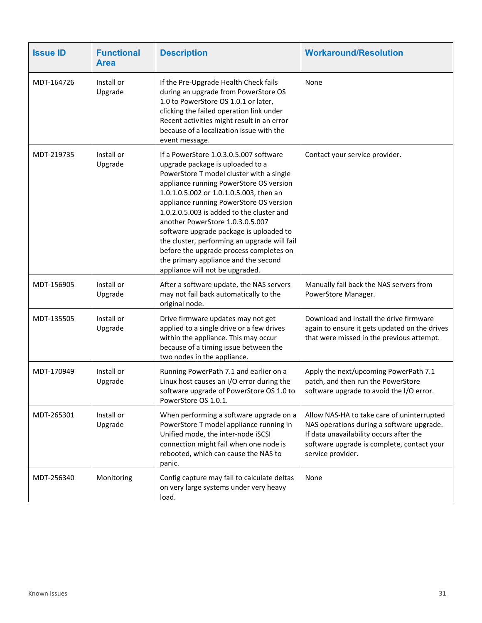| <b>Issue ID</b> | <b>Functional</b><br><b>Area</b> | <b>Description</b>                                                                                                                                                                                                                                                                                                                                                                                                                                                                                                                                        | <b>Workaround/Resolution</b>                                                                                                                                                                          |
|-----------------|----------------------------------|-----------------------------------------------------------------------------------------------------------------------------------------------------------------------------------------------------------------------------------------------------------------------------------------------------------------------------------------------------------------------------------------------------------------------------------------------------------------------------------------------------------------------------------------------------------|-------------------------------------------------------------------------------------------------------------------------------------------------------------------------------------------------------|
| MDT-164726      | Install or<br>Upgrade            | If the Pre-Upgrade Health Check fails<br>during an upgrade from PowerStore OS<br>1.0 to PowerStore OS 1.0.1 or later,<br>clicking the failed operation link under<br>Recent activities might result in an error<br>because of a localization issue with the<br>event message.                                                                                                                                                                                                                                                                             | None                                                                                                                                                                                                  |
| MDT-219735      | Install or<br>Upgrade            | If a PowerStore 1.0.3.0.5.007 software<br>upgrade package is uploaded to a<br>PowerStore T model cluster with a single<br>appliance running PowerStore OS version<br>1.0.1.0.5.002 or 1.0.1.0.5.003, then an<br>appliance running PowerStore OS version<br>1.0.2.0.5.003 is added to the cluster and<br>another PowerStore 1.0.3.0.5.007<br>software upgrade package is uploaded to<br>the cluster, performing an upgrade will fail<br>before the upgrade process completes on<br>the primary appliance and the second<br>appliance will not be upgraded. | Contact your service provider.                                                                                                                                                                        |
| MDT-156905      | Install or<br>Upgrade            | After a software update, the NAS servers<br>may not fail back automatically to the<br>original node.                                                                                                                                                                                                                                                                                                                                                                                                                                                      | Manually fail back the NAS servers from<br>PowerStore Manager.                                                                                                                                        |
| MDT-135505      | Install or<br>Upgrade            | Drive firmware updates may not get<br>applied to a single drive or a few drives<br>within the appliance. This may occur<br>because of a timing issue between the<br>two nodes in the appliance.                                                                                                                                                                                                                                                                                                                                                           | Download and install the drive firmware<br>again to ensure it gets updated on the drives<br>that were missed in the previous attempt.                                                                 |
| MDT-170949      | Install or<br>Upgrade            | Running PowerPath 7.1 and earlier on a<br>Linux host causes an I/O error during the<br>software upgrade of PowerStore OS 1.0 to<br>PowerStore OS 1.0.1.                                                                                                                                                                                                                                                                                                                                                                                                   | Apply the next/upcoming PowerPath 7.1<br>patch, and then run the PowerStore<br>software upgrade to avoid the I/O error.                                                                               |
| MDT-265301      | Install or<br>Upgrade            | When performing a software upgrade on a<br>PowerStore T model appliance running in<br>Unified mode, the inter-node iSCSI<br>connection might fail when one node is<br>rebooted, which can cause the NAS to<br>panic.                                                                                                                                                                                                                                                                                                                                      | Allow NAS-HA to take care of uninterrupted<br>NAS operations during a software upgrade.<br>If data unavailability occurs after the<br>software upgrade is complete, contact your<br>service provider. |
| MDT-256340      | Monitoring                       | Config capture may fail to calculate deltas<br>on very large systems under very heavy<br>load.                                                                                                                                                                                                                                                                                                                                                                                                                                                            | None                                                                                                                                                                                                  |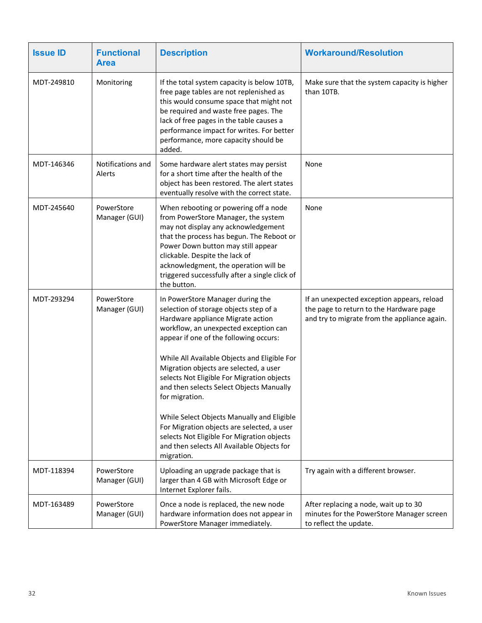| <b>Issue ID</b> | <b>Functional</b><br><b>Area</b> | <b>Description</b>                                                                                                                                                                                                                                                                                                                                                                                                                                                                                                                                                                                             | <b>Workaround/Resolution</b>                                                                                                          |
|-----------------|----------------------------------|----------------------------------------------------------------------------------------------------------------------------------------------------------------------------------------------------------------------------------------------------------------------------------------------------------------------------------------------------------------------------------------------------------------------------------------------------------------------------------------------------------------------------------------------------------------------------------------------------------------|---------------------------------------------------------------------------------------------------------------------------------------|
| MDT-249810      | Monitoring                       | If the total system capacity is below 10TB,<br>free page tables are not replenished as<br>this would consume space that might not<br>be required and waste free pages. The<br>lack of free pages in the table causes a<br>performance impact for writes. For better<br>performance, more capacity should be<br>added.                                                                                                                                                                                                                                                                                          | Make sure that the system capacity is higher<br>than 10TB.                                                                            |
| MDT-146346      | Notifications and<br>Alerts      | Some hardware alert states may persist<br>for a short time after the health of the<br>object has been restored. The alert states<br>eventually resolve with the correct state.                                                                                                                                                                                                                                                                                                                                                                                                                                 | None                                                                                                                                  |
| MDT-245640      | PowerStore<br>Manager (GUI)      | When rebooting or powering off a node<br>from PowerStore Manager, the system<br>may not display any acknowledgement<br>that the process has begun. The Reboot or<br>Power Down button may still appear<br>clickable. Despite the lack of<br>acknowledgment, the operation will be<br>triggered successfully after a single click of<br>the button.                                                                                                                                                                                                                                                             | None                                                                                                                                  |
| MDT-293294      | PowerStore<br>Manager (GUI)      | In PowerStore Manager during the<br>selection of storage objects step of a<br>Hardware appliance Migrate action<br>workflow, an unexpected exception can<br>appear if one of the following occurs:<br>While All Available Objects and Eligible For<br>Migration objects are selected, a user<br>selects Not Eligible For Migration objects<br>and then selects Select Objects Manually<br>for migration.<br>While Select Objects Manually and Eligible<br>For Migration objects are selected, a user<br>selects Not Eligible For Migration objects<br>and then selects All Available Objects for<br>migration. | If an unexpected exception appears, reload<br>the page to return to the Hardware page<br>and try to migrate from the appliance again. |
| MDT-118394      | PowerStore<br>Manager (GUI)      | Uploading an upgrade package that is<br>larger than 4 GB with Microsoft Edge or<br>Internet Explorer fails.                                                                                                                                                                                                                                                                                                                                                                                                                                                                                                    | Try again with a different browser.                                                                                                   |
| MDT-163489      | PowerStore<br>Manager (GUI)      | Once a node is replaced, the new node<br>hardware information does not appear in<br>PowerStore Manager immediately.                                                                                                                                                                                                                                                                                                                                                                                                                                                                                            | After replacing a node, wait up to 30<br>minutes for the PowerStore Manager screen<br>to reflect the update.                          |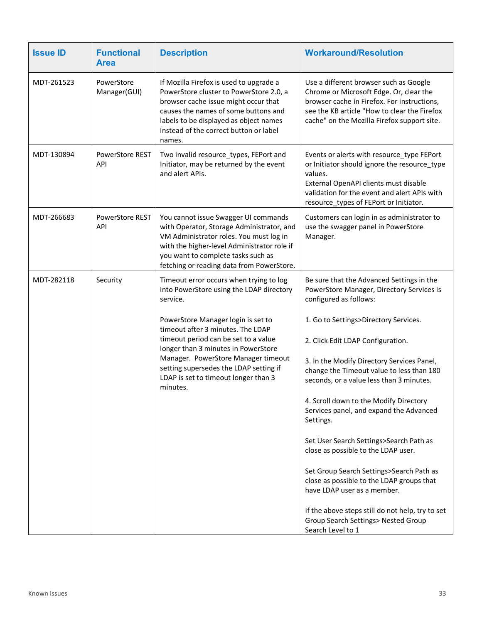| <b>Issue ID</b> | <b>Functional</b><br><b>Area</b>     | <b>Description</b>                                                                                                                                                                                                                                               | <b>Workaround/Resolution</b>                                                                                                                                                                                                             |
|-----------------|--------------------------------------|------------------------------------------------------------------------------------------------------------------------------------------------------------------------------------------------------------------------------------------------------------------|------------------------------------------------------------------------------------------------------------------------------------------------------------------------------------------------------------------------------------------|
| MDT-261523      | PowerStore<br>Manager(GUI)           | If Mozilla Firefox is used to upgrade a<br>PowerStore cluster to PowerStore 2.0, a<br>browser cache issue might occur that<br>causes the names of some buttons and<br>labels to be displayed as object names<br>instead of the correct button or label<br>names. | Use a different browser such as Google<br>Chrome or Microsoft Edge. Or, clear the<br>browser cache in Firefox. For instructions,<br>see the KB article "How to clear the Firefox<br>cache" on the Mozilla Firefox support site.          |
| MDT-130894      | <b>PowerStore REST</b><br>API        | Two invalid resource_types, FEPort and<br>Initiator, may be returned by the event<br>and alert APIs.                                                                                                                                                             | Events or alerts with resource_type FEPort<br>or Initiator should ignore the resource_type<br>values.<br>External OpenAPI clients must disable<br>validation for the event and alert APIs with<br>resource_types of FEPort or Initiator. |
| MDT-266683      | <b>PowerStore REST</b><br><b>API</b> | You cannot issue Swagger UI commands<br>with Operator, Storage Administrator, and<br>VM Administrator roles. You must log in<br>with the higher-level Administrator role if<br>you want to complete tasks such as<br>fetching or reading data from PowerStore.   | Customers can login in as administrator to<br>use the swagger panel in PowerStore<br>Manager.                                                                                                                                            |
| MDT-282118      | Security                             | Timeout error occurs when trying to log<br>into PowerStore using the LDAP directory<br>service.                                                                                                                                                                  | Be sure that the Advanced Settings in the<br>PowerStore Manager, Directory Services is<br>configured as follows:                                                                                                                         |
|                 |                                      | PowerStore Manager login is set to<br>timeout after 3 minutes. The LDAP                                                                                                                                                                                          | 1. Go to Settings>Directory Services.                                                                                                                                                                                                    |
|                 |                                      | timeout period can be set to a value<br>longer than 3 minutes in PowerStore                                                                                                                                                                                      | 2. Click Edit LDAP Configuration.                                                                                                                                                                                                        |
|                 |                                      | Manager. PowerStore Manager timeout<br>setting supersedes the LDAP setting if<br>LDAP is set to timeout longer than 3<br>minutes.                                                                                                                                | 3. In the Modify Directory Services Panel,<br>change the Timeout value to less than 180<br>seconds, or a value less than 3 minutes.                                                                                                      |
|                 |                                      |                                                                                                                                                                                                                                                                  | 4. Scroll down to the Modify Directory<br>Services panel, and expand the Advanced<br>Settings.                                                                                                                                           |
|                 |                                      |                                                                                                                                                                                                                                                                  | Set User Search Settings>Search Path as<br>close as possible to the LDAP user.                                                                                                                                                           |
|                 |                                      |                                                                                                                                                                                                                                                                  | Set Group Search Settings>Search Path as<br>close as possible to the LDAP groups that<br>have LDAP user as a member.                                                                                                                     |
|                 |                                      |                                                                                                                                                                                                                                                                  | If the above steps still do not help, try to set<br>Group Search Settings> Nested Group<br>Search Level to 1                                                                                                                             |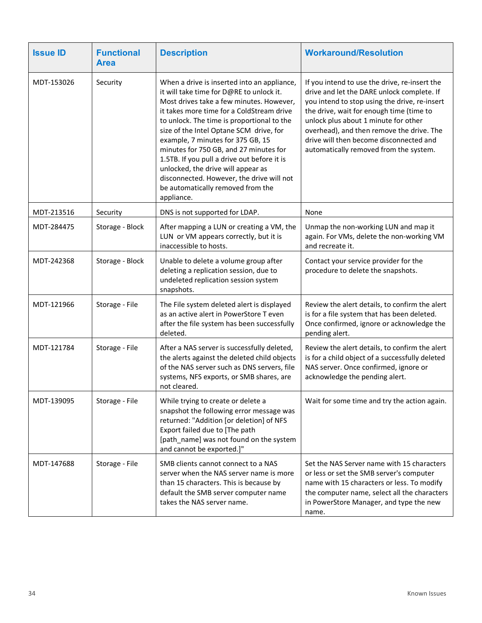| <b>Issue ID</b> | <b>Functional</b><br><b>Area</b> | <b>Description</b>                                                                                                                                                                                                                                                                                                                                                                                                                                                                                                                            | <b>Workaround/Resolution</b>                                                                                                                                                                                                                                                                                                                                       |
|-----------------|----------------------------------|-----------------------------------------------------------------------------------------------------------------------------------------------------------------------------------------------------------------------------------------------------------------------------------------------------------------------------------------------------------------------------------------------------------------------------------------------------------------------------------------------------------------------------------------------|--------------------------------------------------------------------------------------------------------------------------------------------------------------------------------------------------------------------------------------------------------------------------------------------------------------------------------------------------------------------|
| MDT-153026      | Security                         | When a drive is inserted into an appliance,<br>it will take time for D@RE to unlock it.<br>Most drives take a few minutes. However,<br>it takes more time for a ColdStream drive<br>to unlock. The time is proportional to the<br>size of the Intel Optane SCM drive, for<br>example, 7 minutes for 375 GB, 15<br>minutes for 750 GB, and 27 minutes for<br>1.5TB. If you pull a drive out before it is<br>unlocked, the drive will appear as<br>disconnected. However, the drive will not<br>be automatically removed from the<br>appliance. | If you intend to use the drive, re-insert the<br>drive and let the DARE unlock complete. If<br>you intend to stop using the drive, re-insert<br>the drive, wait for enough time (time to<br>unlock plus about 1 minute for other<br>overhead), and then remove the drive. The<br>drive will then become disconnected and<br>automatically removed from the system. |
| MDT-213516      | Security                         | DNS is not supported for LDAP.                                                                                                                                                                                                                                                                                                                                                                                                                                                                                                                | None                                                                                                                                                                                                                                                                                                                                                               |
| MDT-284475      | Storage - Block                  | After mapping a LUN or creating a VM, the<br>LUN or VM appears correctly, but it is<br>inaccessible to hosts.                                                                                                                                                                                                                                                                                                                                                                                                                                 | Unmap the non-working LUN and map it<br>again. For VMs, delete the non-working VM<br>and recreate it.                                                                                                                                                                                                                                                              |
| MDT-242368      | Storage - Block                  | Unable to delete a volume group after<br>deleting a replication session, due to<br>undeleted replication session system<br>snapshots.                                                                                                                                                                                                                                                                                                                                                                                                         | Contact your service provider for the<br>procedure to delete the snapshots.                                                                                                                                                                                                                                                                                        |
| MDT-121966      | Storage - File                   | The File system deleted alert is displayed<br>as an active alert in PowerStore T even<br>after the file system has been successfully<br>deleted.                                                                                                                                                                                                                                                                                                                                                                                              | Review the alert details, to confirm the alert<br>is for a file system that has been deleted.<br>Once confirmed, ignore or acknowledge the<br>pending alert.                                                                                                                                                                                                       |
| MDT-121784      | Storage - File                   | After a NAS server is successfully deleted,<br>the alerts against the deleted child objects<br>of the NAS server such as DNS servers, file<br>systems, NFS exports, or SMB shares, are<br>not cleared.                                                                                                                                                                                                                                                                                                                                        | Review the alert details, to confirm the alert<br>is for a child object of a successfully deleted<br>NAS server. Once confirmed, ignore or<br>acknowledge the pending alert.                                                                                                                                                                                       |
| MDT-139095      | Storage - File                   | While trying to create or delete a<br>snapshot the following error message was<br>returned: "Addition [or deletion] of NFS<br>Export failed due to [The path<br>[path_name] was not found on the system<br>and cannot be exported.]"                                                                                                                                                                                                                                                                                                          | Wait for some time and try the action again.                                                                                                                                                                                                                                                                                                                       |
| MDT-147688      | Storage - File                   | SMB clients cannot connect to a NAS<br>server when the NAS server name is more<br>than 15 characters. This is because by<br>default the SMB server computer name<br>takes the NAS server name.                                                                                                                                                                                                                                                                                                                                                | Set the NAS Server name with 15 characters<br>or less or set the SMB server's computer<br>name with 15 characters or less. To modify<br>the computer name, select all the characters<br>in PowerStore Manager, and type the new<br>name.                                                                                                                           |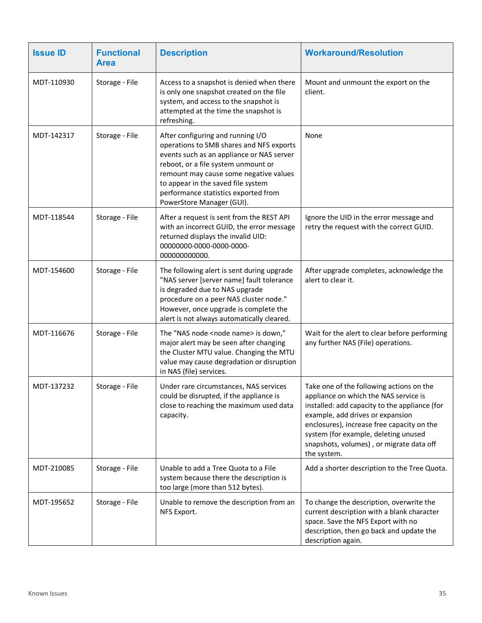| <b>Issue ID</b> | <b>Functional</b><br><b>Area</b> | <b>Description</b>                                                                                                                                                                                                                                                                                                     | <b>Workaround/Resolution</b>                                                                                                                                                                                                                                                                                            |
|-----------------|----------------------------------|------------------------------------------------------------------------------------------------------------------------------------------------------------------------------------------------------------------------------------------------------------------------------------------------------------------------|-------------------------------------------------------------------------------------------------------------------------------------------------------------------------------------------------------------------------------------------------------------------------------------------------------------------------|
| MDT-110930      | Storage - File                   | Access to a snapshot is denied when there<br>is only one snapshot created on the file<br>system, and access to the snapshot is<br>attempted at the time the snapshot is<br>refreshing.                                                                                                                                 | Mount and unmount the export on the<br>client.                                                                                                                                                                                                                                                                          |
| MDT-142317      | Storage - File                   | After configuring and running I/O<br>operations to SMB shares and NFS exports<br>events such as an appliance or NAS server<br>reboot, or a file system unmount or<br>remount may cause some negative values<br>to appear in the saved file system<br>performance statistics exported from<br>PowerStore Manager (GUI). | None                                                                                                                                                                                                                                                                                                                    |
| MDT-118544      | Storage - File                   | After a request is sent from the REST API<br>with an incorrect GUID, the error message<br>returned displays the invalid UID:<br>00000000-0000-0000-0000-<br>000000000000.                                                                                                                                              | Ignore the UID in the error message and<br>retry the request with the correct GUID.                                                                                                                                                                                                                                     |
| MDT-154600      | Storage - File                   | The following alert is sent during upgrade<br>"NAS server [server name] fault tolerance<br>is degraded due to NAS upgrade<br>procedure on a peer NAS cluster node."<br>However, once upgrade is complete the<br>alert is not always automatically cleared.                                                             | After upgrade completes, acknowledge the<br>alert to clear it.                                                                                                                                                                                                                                                          |
| MDT-116676      | Storage - File                   | The "NAS node <node name=""> is down,"<br/>major alert may be seen after changing<br/>the Cluster MTU value. Changing the MTU<br/>value may cause degradation or disruption<br/>in NAS (file) services.</node>                                                                                                         | Wait for the alert to clear before performing<br>any further NAS (File) operations.                                                                                                                                                                                                                                     |
| MDT-137232      | Storage - File                   | Under rare circumstances, NAS services<br>could be disrupted, if the appliance is<br>close to reaching the maximum used data<br>capacity.                                                                                                                                                                              | Take one of the following actions on the<br>appliance on which the NAS service is<br>installed: add capacity to the appliance (for<br>example, add drives or expansion<br>enclosures), increase free capacity on the<br>system (for example, deleting unused<br>snapshots, volumes), or migrate data off<br>the system. |
| MDT-210085      | Storage - File                   | Unable to add a Tree Quota to a File<br>system because there the description is<br>too large (more than 512 bytes).                                                                                                                                                                                                    | Add a shorter description to the Tree Quota.                                                                                                                                                                                                                                                                            |
| MDT-195652      | Storage - File                   | Unable to remove the description from an<br>NFS Export.                                                                                                                                                                                                                                                                | To change the description, overwrite the<br>current description with a blank character<br>space. Save the NFS Export with no<br>description, then go back and update the<br>description again.                                                                                                                          |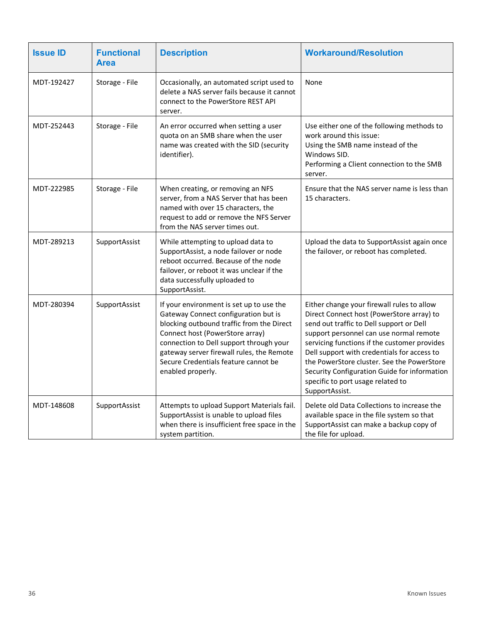| <b>Issue ID</b> | <b>Functional</b><br>Area | <b>Description</b>                                                                                                                                                                                                                                                                                                    | <b>Workaround/Resolution</b>                                                                                                                                                                                                                                                                                                                                                                                                       |
|-----------------|---------------------------|-----------------------------------------------------------------------------------------------------------------------------------------------------------------------------------------------------------------------------------------------------------------------------------------------------------------------|------------------------------------------------------------------------------------------------------------------------------------------------------------------------------------------------------------------------------------------------------------------------------------------------------------------------------------------------------------------------------------------------------------------------------------|
| MDT-192427      | Storage - File            | Occasionally, an automated script used to<br>delete a NAS server fails because it cannot<br>connect to the PowerStore REST API<br>server.                                                                                                                                                                             | None                                                                                                                                                                                                                                                                                                                                                                                                                               |
| MDT-252443      | Storage - File            | An error occurred when setting a user<br>quota on an SMB share when the user<br>name was created with the SID (security<br>identifier).                                                                                                                                                                               | Use either one of the following methods to<br>work around this issue:<br>Using the SMB name instead of the<br>Windows SID.<br>Performing a Client connection to the SMB<br>server.                                                                                                                                                                                                                                                 |
| MDT-222985      | Storage - File            | When creating, or removing an NFS<br>server, from a NAS Server that has been<br>named with over 15 characters, the<br>request to add or remove the NFS Server<br>from the NAS server times out.                                                                                                                       | Ensure that the NAS server name is less than<br>15 characters.                                                                                                                                                                                                                                                                                                                                                                     |
| MDT-289213      | SupportAssist             | While attempting to upload data to<br>SupportAssist, a node failover or node<br>reboot occurred. Because of the node<br>failover, or reboot it was unclear if the<br>data successfully uploaded to<br>SupportAssist.                                                                                                  | Upload the data to SupportAssist again once<br>the failover, or reboot has completed.                                                                                                                                                                                                                                                                                                                                              |
| MDT-280394      | SupportAssist             | If your environment is set up to use the<br>Gateway Connect configuration but is<br>blocking outbound traffic from the Direct<br>Connect host (PowerStore array)<br>connection to Dell support through your<br>gateway server firewall rules, the Remote<br>Secure Credentials feature cannot be<br>enabled properly. | Either change your firewall rules to allow<br>Direct Connect host (PowerStore array) to<br>send out traffic to Dell support or Dell<br>support personnel can use normal remote<br>servicing functions if the customer provides<br>Dell support with credentials for access to<br>the PowerStore cluster. See the PowerStore<br>Security Configuration Guide for information<br>specific to port usage related to<br>SupportAssist. |
| MDT-148608      | SupportAssist             | Attempts to upload Support Materials fail.<br>SupportAssist is unable to upload files<br>when there is insufficient free space in the<br>system partition.                                                                                                                                                            | Delete old Data Collections to increase the<br>available space in the file system so that<br>SupportAssist can make a backup copy of<br>the file for upload.                                                                                                                                                                                                                                                                       |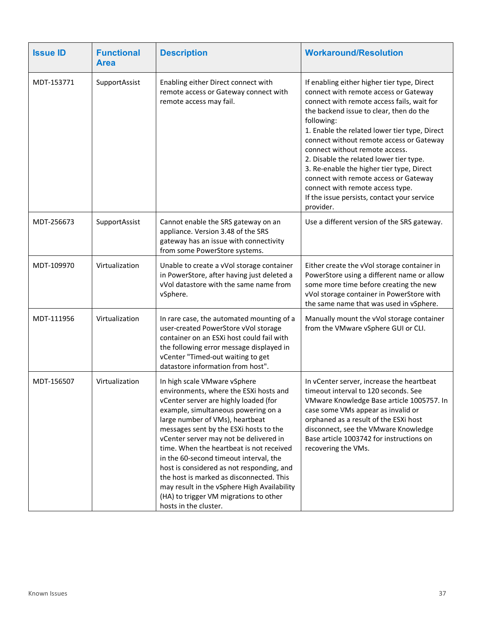| <b>Issue ID</b> | <b>Functional</b><br><b>Area</b> | <b>Description</b>                                                                                                                                                                                                                                                                                                                                                                                                                                                                                                                                                             | <b>Workaround/Resolution</b>                                                                                                                                                                                                                                                                                                                                                                                                                                                                                                                                |
|-----------------|----------------------------------|--------------------------------------------------------------------------------------------------------------------------------------------------------------------------------------------------------------------------------------------------------------------------------------------------------------------------------------------------------------------------------------------------------------------------------------------------------------------------------------------------------------------------------------------------------------------------------|-------------------------------------------------------------------------------------------------------------------------------------------------------------------------------------------------------------------------------------------------------------------------------------------------------------------------------------------------------------------------------------------------------------------------------------------------------------------------------------------------------------------------------------------------------------|
| MDT-153771      | SupportAssist                    | Enabling either Direct connect with<br>remote access or Gateway connect with<br>remote access may fail.                                                                                                                                                                                                                                                                                                                                                                                                                                                                        | If enabling either higher tier type, Direct<br>connect with remote access or Gateway<br>connect with remote access fails, wait for<br>the backend issue to clear, then do the<br>following:<br>1. Enable the related lower tier type, Direct<br>connect without remote access or Gateway<br>connect without remote access.<br>2. Disable the related lower tier type.<br>3. Re-enable the higher tier type, Direct<br>connect with remote access or Gateway<br>connect with remote access type.<br>If the issue persists, contact your service<br>provider. |
| MDT-256673      | SupportAssist                    | Cannot enable the SRS gateway on an<br>appliance. Version 3.48 of the SRS<br>gateway has an issue with connectivity<br>from some PowerStore systems.                                                                                                                                                                                                                                                                                                                                                                                                                           | Use a different version of the SRS gateway.                                                                                                                                                                                                                                                                                                                                                                                                                                                                                                                 |
| MDT-109970      | Virtualization                   | Unable to create a vVol storage container<br>in PowerStore, after having just deleted a<br>vVol datastore with the same name from<br>vSphere.                                                                                                                                                                                                                                                                                                                                                                                                                                  | Either create the vVol storage container in<br>PowerStore using a different name or allow<br>some more time before creating the new<br>vVol storage container in PowerStore with<br>the same name that was used in vSphere.                                                                                                                                                                                                                                                                                                                                 |
| MDT-111956      | Virtualization                   | In rare case, the automated mounting of a<br>user-created PowerStore vVol storage<br>container on an ESXi host could fail with<br>the following error message displayed in<br>vCenter "Timed-out waiting to get<br>datastore information from host".                                                                                                                                                                                                                                                                                                                           | Manually mount the vVol storage container<br>from the VMware vSphere GUI or CLI.                                                                                                                                                                                                                                                                                                                                                                                                                                                                            |
| MDT-156507      | Virtualization                   | In high scale VMware vSphere<br>environments, where the ESXi hosts and<br>vCenter server are highly loaded (for<br>example, simultaneous powering on a<br>large number of VMs), heartbeat<br>messages sent by the ESXi hosts to the<br>vCenter server may not be delivered in<br>time. When the heartbeat is not received<br>in the 60-second timeout interval, the<br>host is considered as not responding, and<br>the host is marked as disconnected. This<br>may result in the vSphere High Availability<br>(HA) to trigger VM migrations to other<br>hosts in the cluster. | In vCenter server, increase the heartbeat<br>timeout interval to 120 seconds. See<br>VMware Knowledge Base article 1005757. In<br>case some VMs appear as invalid or<br>orphaned as a result of the ESXi host<br>disconnect, see the VMware Knowledge<br>Base article 1003742 for instructions on<br>recovering the VMs.                                                                                                                                                                                                                                    |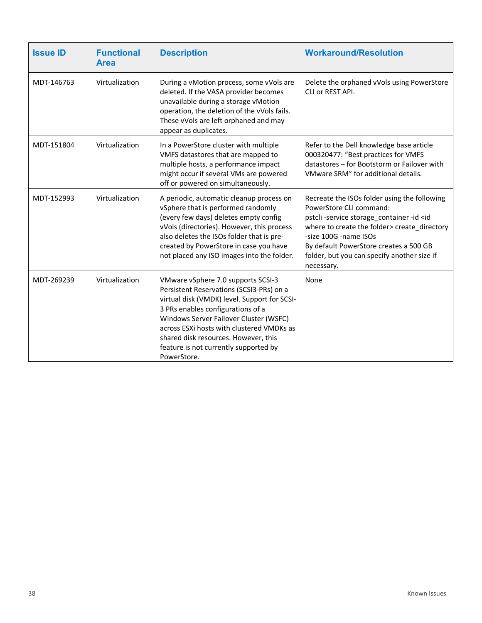| <b>Issue ID</b> | <b>Functional</b><br><b>Area</b> | <b>Description</b>                                                                                                                                                                                                                                                                                                                                         | <b>Workaround/Resolution</b>                                                                                                                                                                                                                                                                                      |  |
|-----------------|----------------------------------|------------------------------------------------------------------------------------------------------------------------------------------------------------------------------------------------------------------------------------------------------------------------------------------------------------------------------------------------------------|-------------------------------------------------------------------------------------------------------------------------------------------------------------------------------------------------------------------------------------------------------------------------------------------------------------------|--|
| MDT-146763      | Virtualization                   | During a vMotion process, some vVols are<br>deleted. If the VASA provider becomes<br>unavailable during a storage vMotion<br>operation, the deletion of the vVols fails.<br>These vVols are left orphaned and may<br>appear as duplicates.                                                                                                                 | Delete the orphaned vVols using PowerStore<br>CLI or REST API.                                                                                                                                                                                                                                                    |  |
| MDT-151804      | Virtualization                   | In a PowerStore cluster with multiple<br>VMFS datastores that are mapped to<br>multiple hosts, a performance impact<br>might occur if several VMs are powered<br>off or powered on simultaneously.                                                                                                                                                         | Refer to the Dell knowledge base article<br>000320477: "Best practices for VMFS<br>datastores - for Bootstorm or Failover with<br>VMware SRM" for additional details.                                                                                                                                             |  |
| MDT-152993      | Virtualization                   | A periodic, automatic cleanup process on<br>vSphere that is performed randomly<br>(every few days) deletes empty config<br>vVols (directories). However, this process<br>also deletes the ISOs folder that is pre-<br>created by PowerStore in case you have<br>not placed any ISO images into the folder.                                                 | Recreate the ISOs folder using the following<br>PowerStore CLI command:<br>pstcli-service storage_container-id <id<br>where to create the folder&gt; create directory<br/>-size 100G -name ISOs<br/>By default PowerStore creates a 500 GB<br/>folder, but you can specify another size if<br/>necessary.</id<br> |  |
| MDT-269239      | Virtualization                   | VMware vSphere 7.0 supports SCSI-3<br>Persistent Reservations (SCSI3-PRs) on a<br>virtual disk (VMDK) level. Support for SCSI-<br>3 PRs enables configurations of a<br>Windows Server Failover Cluster (WSFC)<br>across ESXi hosts with clustered VMDKs as<br>shared disk resources. However, this<br>feature is not currently supported by<br>PowerStore. | None                                                                                                                                                                                                                                                                                                              |  |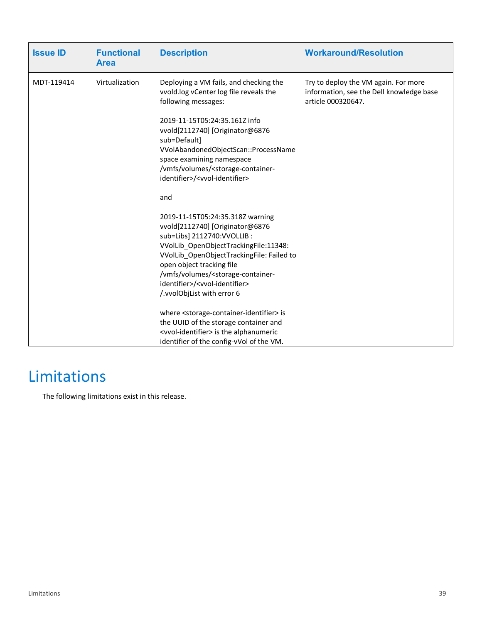| <b>Issue ID</b> | <b>Functional</b><br><b>Area</b> | <b>Description</b>                                                                                                                                                                                                                                                                                                                                                                                                                                                                                                                                                                                            | <b>Workaround/Resolution</b>                                                                           |
|-----------------|----------------------------------|---------------------------------------------------------------------------------------------------------------------------------------------------------------------------------------------------------------------------------------------------------------------------------------------------------------------------------------------------------------------------------------------------------------------------------------------------------------------------------------------------------------------------------------------------------------------------------------------------------------|--------------------------------------------------------------------------------------------------------|
| MDT-119414      | Virtualization                   | Deploying a VM fails, and checking the<br>vvold.log vCenter log file reveals the<br>following messages:<br>2019-11-15T05:24:35.161Z info<br>vvold[2112740] [Originator@6876<br>sub=Default]<br>VVolAbandonedObjectScan::ProcessName<br>space examining namespace<br>/vmfs/volumes/ <storage-container-<br>identifier&gt;/<vvol-identifier></vvol-identifier></storage-container-<br>                                                                                                                                                                                                                          | Try to deploy the VM again. For more<br>information, see the Dell knowledge base<br>article 000320647. |
|                 |                                  | and<br>2019-11-15T05:24:35.318Z warning<br>vvold[2112740] [Originator@6876<br>sub=Libs] 2112740:VVOLLIB :<br>VVolLib OpenObjectTrackingFile:11348:<br>VVolLib OpenObjectTrackingFile: Failed to<br>open object tracking file<br>/vmfs/volumes/ <storage-container-<br>identifier&gt;/<vvol-identifier><br/>/.vvolObjList with error 6<br/>where <storage-container-identifier> is<br/>the UUID of the storage container and<br/><vvol-identifier> is the alphanumeric<br/>identifier of the config-vVol of the VM.</vvol-identifier></storage-container-identifier></vvol-identifier></storage-container-<br> |                                                                                                        |

# <span id="page-38-0"></span>Limitations

The following limitations exist in this release.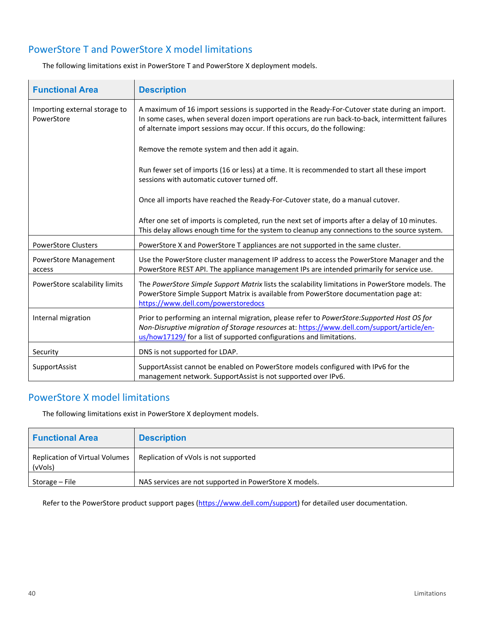### PowerStore T and PowerStore X model limitations

| <b>Functional Area</b>                      | <b>Description</b>                                                                                                                                                                                                                                                            |
|---------------------------------------------|-------------------------------------------------------------------------------------------------------------------------------------------------------------------------------------------------------------------------------------------------------------------------------|
| Importing external storage to<br>PowerStore | A maximum of 16 import sessions is supported in the Ready-For-Cutover state during an import.<br>In some cases, when several dozen import operations are run back-to-back, intermittent failures<br>of alternate import sessions may occur. If this occurs, do the following: |
|                                             | Remove the remote system and then add it again.                                                                                                                                                                                                                               |
|                                             | Run fewer set of imports (16 or less) at a time. It is recommended to start all these import<br>sessions with automatic cutover turned off.                                                                                                                                   |
|                                             | Once all imports have reached the Ready-For-Cutover state, do a manual cutover.                                                                                                                                                                                               |
|                                             | After one set of imports is completed, run the next set of imports after a delay of 10 minutes.<br>This delay allows enough time for the system to cleanup any connections to the source system.                                                                              |
| <b>PowerStore Clusters</b>                  | PowerStore X and PowerStore T appliances are not supported in the same cluster.                                                                                                                                                                                               |
| <b>PowerStore Management</b><br>access      | Use the PowerStore cluster management IP address to access the PowerStore Manager and the<br>PowerStore REST API. The appliance management IPs are intended primarily for service use.                                                                                        |
| PowerStore scalability limits               | The PowerStore Simple Support Matrix lists the scalability limitations in PowerStore models. The<br>PowerStore Simple Support Matrix is available from PowerStore documentation page at:<br>https://www.dell.com/powerstoredocs                                               |
| Internal migration                          | Prior to performing an internal migration, please refer to PowerStore: Supported Host OS for<br>Non-Disruptive migration of Storage resources at: https://www.dell.com/support/article/en-<br>us/how17129/ for a list of supported configurations and limitations.            |
| Security                                    | DNS is not supported for LDAP.                                                                                                                                                                                                                                                |
| SupportAssist                               | SupportAssist cannot be enabled on PowerStore models configured with IPv6 for the<br>management network. SupportAssist is not supported over IPv6.                                                                                                                            |

The following limitations exist in PowerStore T and PowerStore X deployment models.

#### PowerStore X model limitations

The following limitations exist in PowerStore X deployment models.

| <b>Functional Area</b>                    | <b>Description</b>                                     |
|-------------------------------------------|--------------------------------------------------------|
| Replication of Virtual Volumes<br>(vVols) | Replication of vVols is not supported                  |
| Storage – File                            | NAS services are not supported in PowerStore X models. |

Refer to the PowerStore product support pages [\(https://www.dell.com/support\)](https://www.dell.com/support) for detailed user documentation.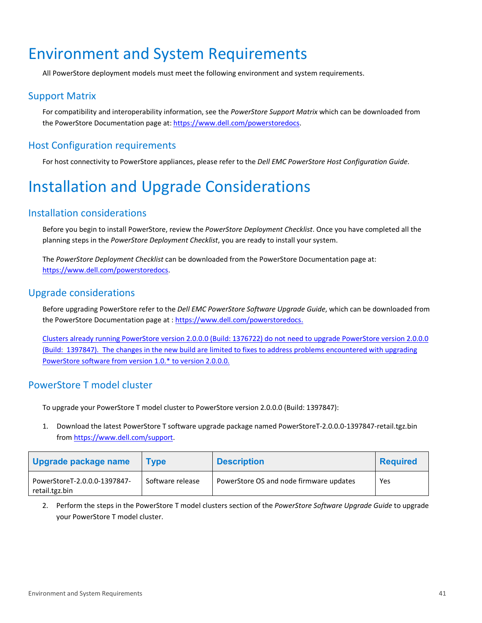## <span id="page-40-0"></span>Environment and System Requirements

All PowerStore deployment models must meet the following environment and system requirements.

#### Support Matrix

For compatibility and interoperability information, see the *PowerStore Support Matrix* which can be downloaded from the PowerStore Documentation page at[: https://www.dell.com/powerstoredocs.](https://www.dell.com/powerstoredocs)

### Host Configuration requirements

For host connectivity to PowerStore appliances, please refer to the *Dell EMC PowerStore Host Configuration Guide*.

# <span id="page-40-1"></span>Installation and Upgrade Considerations

#### Installation considerations

Before you begin to install PowerStore, review the *PowerStore Deployment Checklist*. Once you have completed all the planning steps in the *PowerStore Deployment Checklist*, you are ready to install your system.

The *PowerStore Deployment Checklist* can be downloaded from the PowerStore Documentation page at: [https://www.dell.com/powerstoredocs.](https://www.dell.com/powerstoredocs)

#### Upgrade considerations

Before upgrading PowerStore refer to the *Dell EMC PowerStore Software Upgrade Guide*, which can be downloaded from the PowerStore Documentation page at : [https://www.dell.com/powerstoredocs.](https://www.dell.com/powerstoredocs)

Clusters already running PowerStore version 2.0.0.0 (Build: 1376722) do not need to upgrade PowerStore version 2.0.0.0 (Build: 1397847). The changes in the new build are limited to fixes to address problems encountered with upgrading PowerStore software from version 1.0.\* to version 2.0.0.0.

### PowerStore T model cluster

To upgrade your PowerStore T model cluster to PowerStore version 2.0.0.0 (Build: 1397847):

1. Download the latest PowerStore T software upgrade package named PowerStoreT-2.0.0.0-1397847-retail.tgz.bin from [https://www.dell.com/support.](https://www.dell.com/support)

| Upgrade package name                           | <b>Type</b>      | <b>Description</b>                      | <b>Required</b> |
|------------------------------------------------|------------------|-----------------------------------------|-----------------|
| PowerStoreT-2.0.0.0-1397847-<br>retail.tgz.bin | Software release | PowerStore OS and node firmware updates | Yes             |

2. Perform the steps in the PowerStore T model clusters section of the *PowerStore Software Upgrade Guide* to upgrade your PowerStore T model cluster.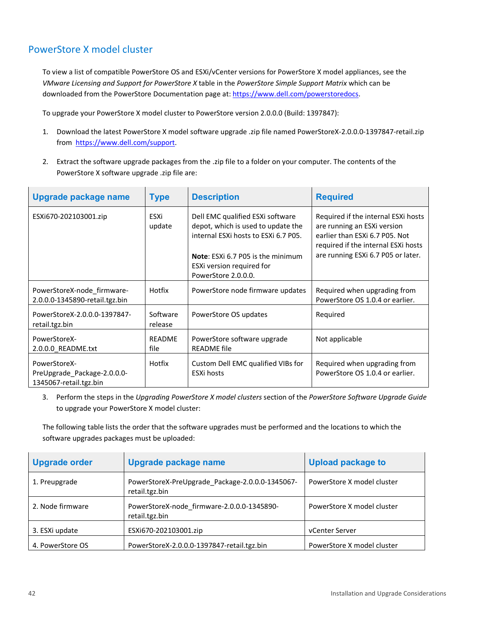### PowerStore X model cluster

To view a list of compatible PowerStore OS and ESXi/vCenter versions for PowerStore X model appliances, see the *VMware Licensing and Support for PowerStore X* table in the *PowerStore Simple Support Matrix* which can be downloaded from the PowerStore Documentation page at[: https://www.dell.com/powerstoredocs.](https://www.dell.com/powerstoredocs)

To upgrade your PowerStore X model cluster to PowerStore version 2.0.0.0 (Build: 1397847):

- 1. Download the latest PowerStore X model software upgrade .zip file named PowerStoreX-2.0.0.0-1397847-retail.zip from [https://www.dell.com/support.](https://www.dell.com/support)
- 2. Extract the software upgrade packages from the .zip file to a folder on your computer. The contents of the PowerStore X software upgrade .zip file are:

| Upgrade package name                                                  | <b>Type</b>           | <b>Description</b>                                                                                                                                                                                      | <b>Required</b>                                                                                                                                                                   |
|-----------------------------------------------------------------------|-----------------------|---------------------------------------------------------------------------------------------------------------------------------------------------------------------------------------------------------|-----------------------------------------------------------------------------------------------------------------------------------------------------------------------------------|
| ESXi670-202103001.zip                                                 | ESXi<br>update        | Dell EMC qualified ESXi software<br>depot, which is used to update the<br>internal ESXI hosts to ESXI 6.7 P05.<br>Note: ESXI 6.7 P05 is the minimum<br>ESXi version required for<br>PowerStore 2.0.0.0. | Required if the internal ESXi hosts<br>are running an ESXi version<br>earlier than ESXi 6.7 P05. Not<br>required if the internal ESXi hosts<br>are running ESXi 6.7 P05 or later. |
| PowerStoreX-node_firmware-<br>2.0.0.0-1345890-retail.tgz.bin          | Hotfix                | PowerStore node firmware updates                                                                                                                                                                        | Required when upgrading from<br>PowerStore OS 1.0.4 or earlier.                                                                                                                   |
| PowerStoreX-2.0.0.0-1397847-<br>retail.tgz.bin                        | Software<br>release   | PowerStore OS updates                                                                                                                                                                                   | Required                                                                                                                                                                          |
| PowerStoreX-<br>2.0.0.0_README.txt                                    | <b>README</b><br>file | PowerStore software upgrade<br><b>README</b> file                                                                                                                                                       | Not applicable                                                                                                                                                                    |
| PowerStoreX-<br>PreUpgrade_Package-2.0.0.0-<br>1345067-retail.tgz.bin | Hotfix                | Custom Dell EMC qualified VIBs for<br><b>ESXi hosts</b>                                                                                                                                                 | Required when upgrading from<br>PowerStore OS 1.0.4 or earlier.                                                                                                                   |

3. Perform the steps in the *Upgrading PowerStore X model clusters* section of the *PowerStore Software Upgrade Guide* to upgrade your PowerStore X model cluster:

The following table lists the order that the software upgrades must be performed and the locations to which the software upgrades packages must be uploaded:

| <b>Upgrade order</b> | Upgrade package name                                              | <b>Upload package to</b>   |
|----------------------|-------------------------------------------------------------------|----------------------------|
| 1. Preupgrade        | PowerStoreX-PreUpgrade Package-2.0.0.0-1345067-<br>retail.tgz.bin | PowerStore X model cluster |
| 2. Node firmware     | PowerStoreX-node_firmware-2.0.0.0-1345890-<br>retail.tgz.bin      | PowerStore X model cluster |
| 3. ESXi update       | ESXi670-202103001.zip                                             | vCenter Server             |
| 4. PowerStore OS     | PowerStoreX-2.0.0.0-1397847-retail.tgz.bin                        | PowerStore X model cluster |